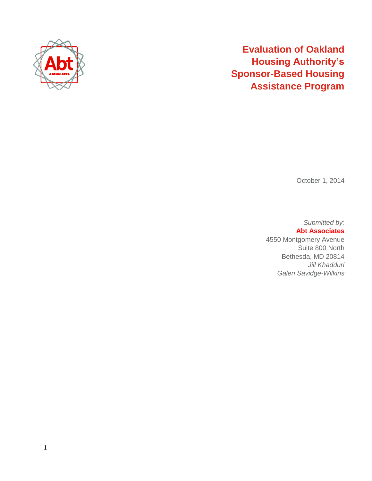

# **Evaluation of Oakland Housing Authority's Sponsor-Based Housing Assistance Program**

October 1, 2014

*Submitted by:* **Abt Associates**  4550 Montgomery Avenue

Suite 800 North Bethesda, MD 20814 *Jill Khadduri Galen Savidge-Wilkins*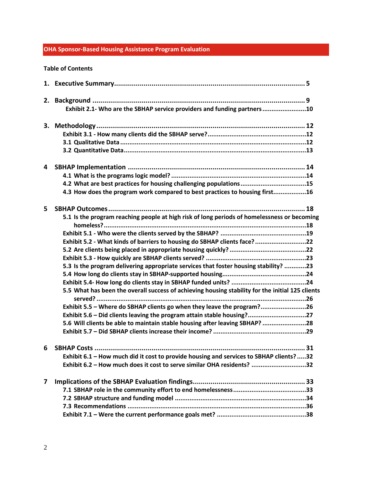# **OHA Sponsor-Based Housing Assistance Program Evaluation**

#### **Table of Contents**

| 2. |                                                                                                  |
|----|--------------------------------------------------------------------------------------------------|
|    | Exhibit 2.1- Who are the SBHAP service providers and funding partners10                          |
|    |                                                                                                  |
|    |                                                                                                  |
|    |                                                                                                  |
|    |                                                                                                  |
| 4  |                                                                                                  |
|    |                                                                                                  |
|    | 4.2 What are best practices for housing challenging populations15                                |
|    | 4.3 How does the program work compared to best practices to housing first16                      |
| 5. |                                                                                                  |
|    | 5.1 Is the program reaching people at high risk of long periods of homelessness or becoming      |
|    |                                                                                                  |
|    | Exhibit 5.2 - What kinds of barriers to housing do SBHAP clients face? 22                        |
|    |                                                                                                  |
|    |                                                                                                  |
|    | 5.3 Is the program delivering appropriate services that foster housing stability? 23             |
|    |                                                                                                  |
|    |                                                                                                  |
|    | 5.5 What has been the overall success of achieving housing stability for the initial 125 clients |
|    |                                                                                                  |
|    | Exhibit 5.5 - Where do SBHAP clients go when they leave the program?26                           |
|    | Exhibit 5.6 - Did clients leaving the program attain stable housing?27                           |
|    | 5.6 Will clients be able to maintain stable housing after leaving SBHAP? 28                      |
|    |                                                                                                  |
| 6  |                                                                                                  |
|    | Exhibit 6.1 - How much did it cost to provide housing and services to SBHAP clients?32           |
|    | Exhibit 6.2 - How much does it cost to serve similar OHA residents? 32                           |
| 7  |                                                                                                  |
|    |                                                                                                  |
|    |                                                                                                  |
|    |                                                                                                  |
|    |                                                                                                  |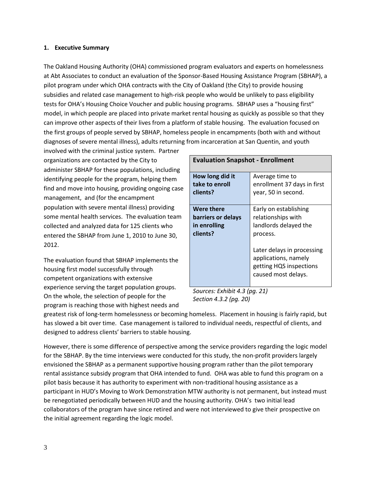#### **1. Executive Summary**

The Oakland Housing Authority (OHA) commissioned program evaluators and experts on homelessness at Abt Associates to conduct an evaluation of the Sponsor-Based Housing Assistance Program (SBHAP), a pilot program under which OHA contracts with the City of Oakland (the City) to provide housing subsidies and related case management to high-risk people who would be unlikely to pass eligibility tests for OHA's Housing Choice Voucher and public housing programs. SBHAP uses a "housing first" model, in which people are placed into private market rental housing as quickly as possible so that they can improve other aspects of their lives from a platform of stable housing. The evaluation focused on the first groups of people served by SBHAP, homeless people in encampments (both with and without diagnoses of severe mental illness), adults returning from incarceration at San Quentin, and youth

involved with the criminal justice system. Partner organizations are contacted by the City to administer SBHAP for these populations, including identifying people for the program, helping them find and move into housing, providing ongoing case management, and (for the encampment population with severe mental illness) providing some mental health services. The evaluation team collected and analyzed data for 125 clients who entered the SBHAP from June 1, 2010 to June 30, 2012.

The evaluation found that SBHAP implements the housing first model successfully through competent organizations with extensive experience serving the target population groups. On the whole, the selection of people for the program is reaching those with highest needs and

|                    | <b>Evaluation Snapshot - Enrollment</b>                                                              |  |  |  |  |  |  |  |
|--------------------|------------------------------------------------------------------------------------------------------|--|--|--|--|--|--|--|
| How long did it    | Average time to                                                                                      |  |  |  |  |  |  |  |
| take to enroll     | enrollment 37 days in first                                                                          |  |  |  |  |  |  |  |
| clients?           | year, 50 in second.                                                                                  |  |  |  |  |  |  |  |
| Were there         | Early on establishing                                                                                |  |  |  |  |  |  |  |
| barriers or delays | relationships with                                                                                   |  |  |  |  |  |  |  |
| in enrolling       | landlords delayed the                                                                                |  |  |  |  |  |  |  |
| clients?           | process.                                                                                             |  |  |  |  |  |  |  |
|                    | Later delays in processing<br>applications, namely<br>getting HQS inspections<br>caused most delays. |  |  |  |  |  |  |  |

*Sources: Exhibit 4.3 (pg. 21) Section 4.3.2 (pg. 20)*

greatest risk of long-term homelessness or becoming homeless. Placement in housing is fairly rapid, but has slowed a bit over time. Case management is tailored to individual needs, respectful of clients, and designed to address clients' barriers to stable housing.

However, there is some difference of perspective among the service providers regarding the logic model for the SBHAP. By the time interviews were conducted for this study, the non-profit providers largely envisioned the SBHAP as a permanent supportive housing program rather than the pilot temporary rental assistance subsidy program that OHA intended to fund. OHA was able to fund this program on a pilot basis because it has authority to experiment with non-traditional housing assistance as a participant in HUD's Moving to Work Demonstration MTW authority is not permanent, but instead must be renegotiated periodically between HUD and the housing authority. OHA's two initial lead collaborators of the program have since retired and were not interviewed to give their prospective on the initial agreement regarding the logic model.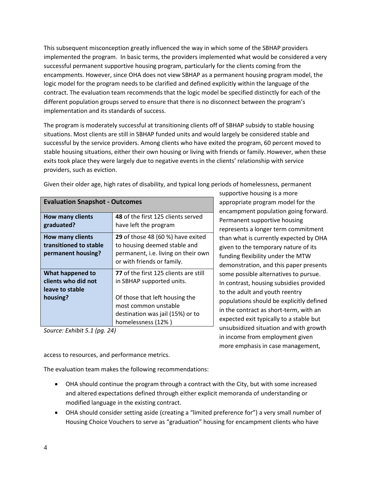This subsequent misconception greatly influenced the way in which some of the SBHAP providers implemented the program. In basic terms, the providers implemented what would be considered a very successful permanent supportive housing program, particularly for the clients coming from the encampments. However, since OHA does not view SBHAP as a permanent housing program model, the logic model for the program needs to be clarified and defined explicitly within the language of the contract. The evaluation team recommends that the logic model be specified distinctly for each of the different population groups served to ensure that there is no disconnect between the program's implementation and its standards of success.

The program is moderately successful at transitioning clients off of SBHAP subsidy to stable housing situations. Most clients are still in SBHAP funded units and would largely be considered stable and successful by the service providers. Among clients who have exited the program, 60 percent moved to stable housing situations, either their own housing or living with friends or family. However, when these exits took place they were largely due to negative events in the clients' relationship with service providers, such as eviction.

| <b>Evaluation Snapshot - Outcomes</b>        |  |  |  |  |  |  |
|----------------------------------------------|--|--|--|--|--|--|
| 48 of the first 125 clients served           |  |  |  |  |  |  |
| have left the program                        |  |  |  |  |  |  |
| <b>29</b> of those 48 (60 %) have exited     |  |  |  |  |  |  |
| to housing deemed stable and                 |  |  |  |  |  |  |
| permanent, i.e. living on their own          |  |  |  |  |  |  |
| or with friends or family.                   |  |  |  |  |  |  |
| <b>77</b> of the first 125 clients are still |  |  |  |  |  |  |
| in SBHAP supported units.                    |  |  |  |  |  |  |
|                                              |  |  |  |  |  |  |
| Of those that left housing the               |  |  |  |  |  |  |
| most common unstable                         |  |  |  |  |  |  |
| destination was jail (15%) or to             |  |  |  |  |  |  |
| homelessness (12%)                           |  |  |  |  |  |  |
| $C_{\text{OUTCO}}$ Eyhibit $E 1/nq 24$       |  |  |  |  |  |  |

Given their older age, high rates of disability, and typical long periods of homelessness, permanent

*Source: Exhibit 5.1 (pg. 24)*

supportive housing is a more appropriate program model for the encampment population going forward. Permanent supportive housing represents a longer term commitment than what is currently expected by OHA given to the temporary nature of its funding flexibility under the MTW demonstration, and this paper presents some possible alternatives to pursue. In contrast, housing subsidies provided to the adult and youth reentry populations should be explicitly defined in the contract as short-term, with an expected exit typically to a stable but unsubsidized situation and with growth in income from employment given more emphasis in case management,

access to resources, and performance metrics.

The evaluation team makes the following recommendations:

- OHA should continue the program through a contract with the City, but with some increased and altered expectations defined through either explicit memoranda of understanding or modified language in the existing contract.
- OHA should consider setting aside (creating a "limited preference for") a very small number of Housing Choice Vouchers to serve as "graduation" housing for encampment clients who have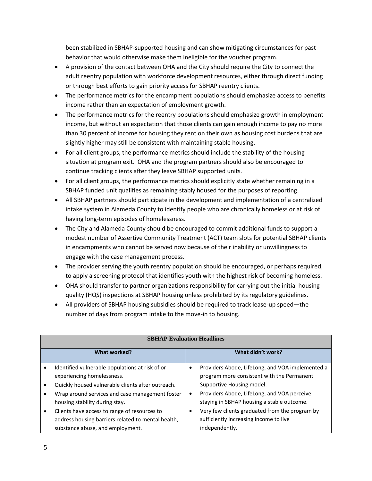been stabilized in SBHAP-supported housing and can show mitigating circumstances for past behavior that would otherwise make them ineligible for the voucher program.

- A provision of the contact between OHA and the City should require the City to connect the adult reentry population with workforce development resources, either through direct funding or through best efforts to gain priority access for SBHAP reentry clients.
- The performance metrics for the encampment populations should emphasize access to benefits income rather than an expectation of employment growth.
- The performance metrics for the reentry populations should emphasize growth in employment income, but without an expectation that those clients can gain enough income to pay no more than 30 percent of income for housing they rent on their own as housing cost burdens that are slightly higher may still be consistent with maintaining stable housing.
- For all client groups, the performance metrics should include the stability of the housing situation at program exit. OHA and the program partners should also be encouraged to continue tracking clients after they leave SBHAP supported units.
- For all client groups, the performance metrics should explicitly state whether remaining in a SBHAP funded unit qualifies as remaining stably housed for the purposes of reporting.
- All SBHAP partners should participate in the development and implementation of a centralized intake system in Alameda County to identify people who are chronically homeless or at risk of having long-term episodes of homelessness.
- The City and Alameda County should be encouraged to commit additional funds to support a modest number of Assertive Community Treatment (ACT) team slots for potential SBHAP clients in encampments who cannot be served now because of their inability or unwillingness to engage with the case management process.
- The provider serving the youth reentry population should be encouraged, or perhaps required, to apply a screening protocol that identifies youth with the highest risk of becoming homeless.
- OHA should transfer to partner organizations responsibility for carrying out the initial housing quality (HQS) inspections at SBHAP housing unless prohibited by its regulatory guidelines.
- All providers of SBHAP housing subsidies should be required to track lease-up speed—the number of days from program intake to the move-in to housing.

| <b>SBHAP Evaluation Headlines</b>                                                                                                                                                                                                                                                                                                                                 |                     |                                                                                                                                                                                                                                                                                                                                        |  |  |  |  |  |  |
|-------------------------------------------------------------------------------------------------------------------------------------------------------------------------------------------------------------------------------------------------------------------------------------------------------------------------------------------------------------------|---------------------|----------------------------------------------------------------------------------------------------------------------------------------------------------------------------------------------------------------------------------------------------------------------------------------------------------------------------------------|--|--|--|--|--|--|
| What worked?                                                                                                                                                                                                                                                                                                                                                      |                     | What didn't work?                                                                                                                                                                                                                                                                                                                      |  |  |  |  |  |  |
| Identified vulnerable populations at risk of or<br>experiencing homelessness.<br>Quickly housed vulnerable clients after outreach.<br>Wrap around services and case management foster<br>housing stability during stay.<br>Clients have access to range of resources to<br>address housing barriers related to mental health,<br>substance abuse, and employment. | ٠<br>$\bullet$<br>٠ | Providers Abode, LifeLong, and VOA implemented a<br>program more consistent with the Permanent<br>Supportive Housing model.<br>Providers Abode, LifeLong, and VOA perceive<br>staying in SBHAP housing a stable outcome.<br>Very few clients graduated from the program by<br>sufficiently increasing income to live<br>independently. |  |  |  |  |  |  |

#### **SBHAP Evaluation Headlines**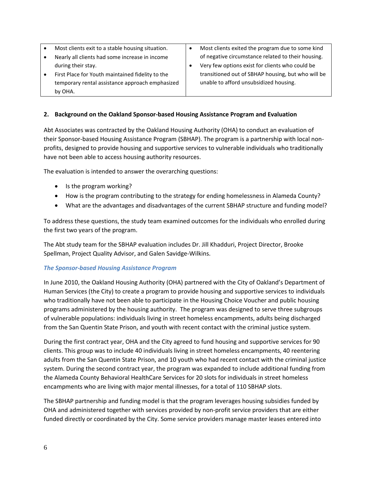| Most clients exit to a stable housing situation. | Most clients exited the program due to some kind   |
|--------------------------------------------------|----------------------------------------------------|
| Nearly all clients had some increase in income   | of negative circumstance related to their housing. |
| during their stay.                               | Very few options exist for clients who could be    |
| First Place for Youth maintained fidelity to the | transitioned out of SBHAP housing, but who will be |
| temporary rental assistance approach emphasized  | unable to afford unsubsidized housing.             |
| by OHA.                                          |                                                    |

### **2. Background on the Oakland Sponsor-based Housing Assistance Program and Evaluation**

Abt Associates was contracted by the Oakland Housing Authority (OHA) to conduct an evaluation of their Sponsor-based Housing Assistance Program (SBHAP). The program is a partnership with local nonprofits, designed to provide housing and supportive services to vulnerable individuals who traditionally have not been able to access housing authority resources.

The evaluation is intended to answer the overarching questions:

- Is the program working?
- How is the program contributing to the strategy for ending homelessness in Alameda County?
- What are the advantages and disadvantages of the current SBHAP structure and funding model?

To address these questions, the study team examined outcomes for the individuals who enrolled during the first two years of the program.

The Abt study team for the SBHAP evaluation includes Dr. Jill Khadduri, Project Director, Brooke Spellman, Project Quality Advisor, and Galen Savidge-Wilkins.

#### *The Sponsor-based Housing Assistance Program*

In June 2010, the Oakland Housing Authority (OHA) partnered with the City of Oakland's Department of Human Services (the City) to create a program to provide housing and supportive services to individuals who traditionally have not been able to participate in the Housing Choice Voucher and public housing programs administered by the housing authority. The program was designed to serve three subgroups of vulnerable populations: individuals living in street homeless encampments, adults being discharged from the San Quentin State Prison, and youth with recent contact with the criminal justice system.

During the first contract year, OHA and the City agreed to fund housing and supportive services for 90 clients. This group was to include 40 individuals living in street homeless encampments, 40 reentering adults from the San Quentin State Prison, and 10 youth who had recent contact with the criminal justice system. During the second contract year, the program was expanded to include additional funding from the Alameda County Behavioral HealthCare Services for 20 slots for individuals in street homeless encampments who are living with major mental illnesses, for a total of 110 SBHAP slots.

The SBHAP partnership and funding model is that the program leverages housing subsidies funded by OHA and administered together with services provided by non-profit service providers that are either funded directly or coordinated by the City. Some service providers manage master leases entered into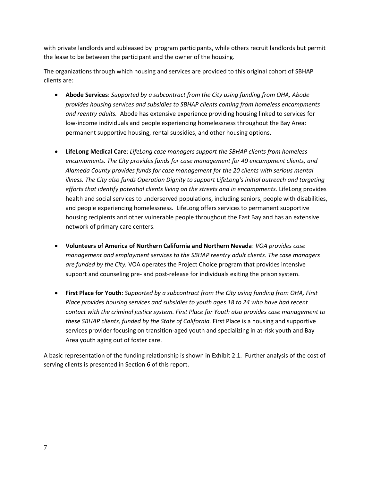with private landlords and subleased by program participants, while others recruit landlords but permit the lease to be between the participant and the owner of the housing.

The organizations through which housing and services are provided to this original cohort of SBHAP clients are:

- **Abode Services**: *Supported by a subcontract from the City using funding from OHA, Abode provides housing services and subsidies to SBHAP clients coming from homeless encampments and reentry adults.* Abode has extensive experience providing housing linked to services for low-income individuals and people experiencing homelessness throughout the Bay Area: permanent supportive housing, rental subsidies, and other housing options.
- **LifeLong Medical Care**: *LifeLong case managers support the SBHAP clients from homeless encampments. The City provides funds for case management for 40 encampment clients, and Alameda County provides funds for case management for the 20 clients with serious mental illness. The City also funds Operation Dignity to support LifeLong's initial outreach and targeting efforts that identify potential clients living on the streets and in encampments.* LifeLong provides health and social services to underserved populations, including seniors, people with disabilities, and people experiencing homelessness. LifeLong offers services to permanent supportive housing recipients and other vulnerable people throughout the East Bay and has an extensive network of primary care centers.
- **Volunteers of America of Northern California and Northern Nevada**: *VOA provides case management and employment services to the SBHAP reentry adult clients. The case managers are funded by the City.* VOA operates the Project Choice program that provides intensive support and counseling pre- and post-release for individuals exiting the prison system.
- **First Place for Youth**: *Supported by a subcontract from the City using funding from OHA, First Place provides housing services and subsidies to youth ages 18 to 24 who have had recent contact with the criminal justice system. First Place for Youth also provides case management to these SBHAP clients, funded by the State of California.* First Place is a housing and supportive services provider focusing on transition-aged youth and specializing in at-risk youth and Bay Area youth aging out of foster care.

A basic representation of the funding relationship is shown in Exhibit 2.1. Further analysis of the cost of serving clients is presented in Section 6 of this report.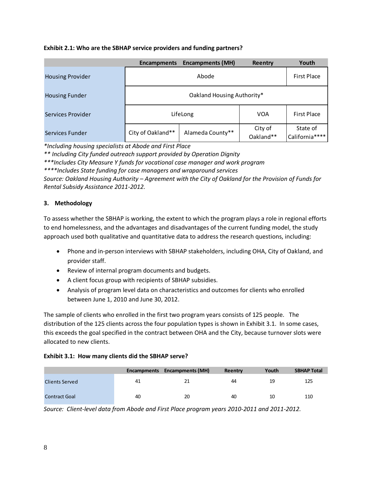## **Exhibit 2.1: Who are the SBHAP service providers and funding partners?**

|                         | <b>Encampments</b>         | <b>Encampments (MH)</b> | Reentry              | Youth                      |  |  |  |  |
|-------------------------|----------------------------|-------------------------|----------------------|----------------------------|--|--|--|--|
| <b>Housing Provider</b> |                            | Abode                   |                      | <b>First Place</b>         |  |  |  |  |
| <b>Housing Funder</b>   | Oakland Housing Authority* |                         |                      |                            |  |  |  |  |
| Services Provider       |                            | LifeLong                | <b>VOA</b>           | <b>First Place</b>         |  |  |  |  |
| Services Funder         | City of Oakland**          | Alameda County**        | City of<br>Oakland** | State of<br>California**** |  |  |  |  |

*\*Including housing specialists at Abode and First Place*

*\*\* Including City funded outreach support provided by Operation Dignity*

*\*\*\*Includes City Measure Y funds for vocational case manager and work program* 

*\*\*\*\*Includes State funding for case managers and wraparound services*

*Source: Oakland Housing Authority – Agreement with the City of Oakland for the Provision of Funds for Rental Subsidy Assistance 2011-2012.*

# **3. Methodology**

To assess whether the SBHAP is working, the extent to which the program plays a role in regional efforts to end homelessness, and the advantages and disadvantages of the current funding model, the study approach used both qualitative and quantitative data to address the research questions, including:

- Phone and in-person interviews with SBHAP stakeholders, including OHA, City of Oakland, and provider staff.
- Review of internal program documents and budgets.
- A client focus group with recipients of SBHAP subsidies.
- Analysis of program level data on characteristics and outcomes for clients who enrolled between June 1, 2010 and June 30, 2012.

The sample of clients who enrolled in the first two program years consists of 125 people. The distribution of the 125 clients across the four population types is shown in Exhibit 3.1. In some cases, this exceeds the goal specified in the contract between OHA and the City, because turnover slots were allocated to new clients.

#### **Exhibit 3.1: How many clients did the SBHAP serve?**

|                       | Encampments | <b>Encampments (MH)</b> | Reentry | Youth | <b>SBHAP Total</b> |
|-----------------------|-------------|-------------------------|---------|-------|--------------------|
| <b>Clients Served</b> | 41          | 21                      | 44      | 19    | 125                |
| <b>Contract Goal</b>  | 40          | 20                      | 40      | 10    | 110                |

*Source: Client-level data from Abode and First Place program years 2010-2011 and 2011-2012.*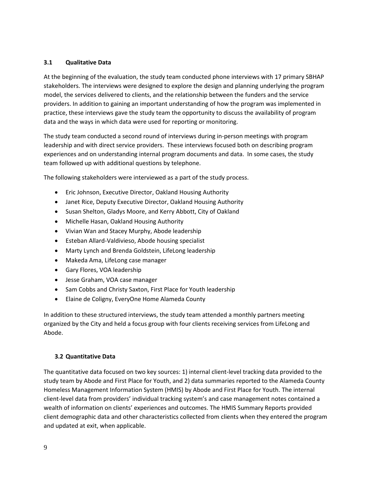## **3.1 Qualitative Data**

At the beginning of the evaluation, the study team conducted phone interviews with 17 primary SBHAP stakeholders. The interviews were designed to explore the design and planning underlying the program model, the services delivered to clients, and the relationship between the funders and the service providers. In addition to gaining an important understanding of how the program was implemented in practice, these interviews gave the study team the opportunity to discuss the availability of program data and the ways in which data were used for reporting or monitoring.

The study team conducted a second round of interviews during in-person meetings with program leadership and with direct service providers. These interviews focused both on describing program experiences and on understanding internal program documents and data. In some cases, the study team followed up with additional questions by telephone.

The following stakeholders were interviewed as a part of the study process.

- Eric Johnson, Executive Director, Oakland Housing Authority
- Janet Rice, Deputy Executive Director, Oakland Housing Authority
- Susan Shelton, Gladys Moore, and Kerry Abbott, City of Oakland
- Michelle Hasan, Oakland Housing Authority
- Vivian Wan and Stacey Murphy, Abode leadership
- Esteban Allard-Valdivieso, Abode housing specialist
- Marty Lynch and Brenda Goldstein, LifeLong leadership
- Makeda Ama, LifeLong case manager
- Gary Flores, VOA leadership
- Jesse Graham, VOA case manager
- Sam Cobbs and Christy Saxton, First Place for Youth leadership
- Elaine de Coligny, EveryOne Home Alameda County

In addition to these structured interviews, the study team attended a monthly partners meeting organized by the City and held a focus group with four clients receiving services from LifeLong and Abode.

#### **3.2 Quantitative Data**

The quantitative data focused on two key sources: 1) internal client-level tracking data provided to the study team by Abode and First Place for Youth, and 2) data summaries reported to the Alameda County Homeless Management Information System (HMIS) by Abode and First Place for Youth. The internal client-level data from providers' individual tracking system's and case management notes contained a wealth of information on clients' experiences and outcomes. The HMIS Summary Reports provided client demographic data and other characteristics collected from clients when they entered the program and updated at exit, when applicable.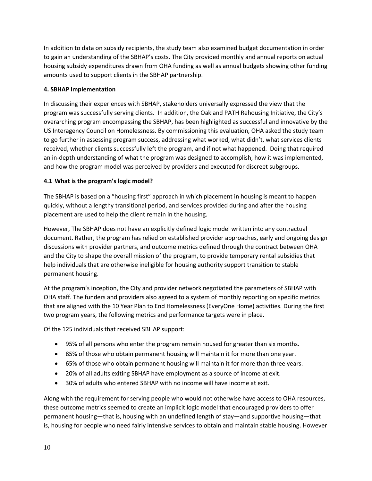In addition to data on subsidy recipients, the study team also examined budget documentation in order to gain an understanding of the SBHAP's costs. The City provided monthly and annual reports on actual housing subsidy expenditures drawn from OHA funding as well as annual budgets showing other funding amounts used to support clients in the SBHAP partnership.

# **4. SBHAP Implementation**

In discussing their experiences with SBHAP, stakeholders universally expressed the view that the program was successfully serving clients. In addition, the Oakland PATH Rehousing Initiative, the City's overarching program encompassing the SBHAP, has been highlighted as successful and innovative by the US Interagency Council on Homelessness. By commissioning this evaluation, OHA asked the study team to go further in assessing program success, addressing what worked, what didn't, what services clients received, whether clients successfully left the program, and if not what happened. Doing that required an in-depth understanding of what the program was designed to accomplish, how it was implemented, and how the program model was perceived by providers and executed for discreet subgroups.

# **4.1 What is the program's logic model?**

The SBHAP is based on a "housing first" approach in which placement in housing is meant to happen quickly, without a lengthy transitional period, and services provided during and after the housing placement are used to help the client remain in the housing.

However, The SBHAP does not have an explicitly defined logic model written into any contractual document. Rather, the program has relied on established provider approaches, early and ongoing design discussions with provider partners, and outcome metrics defined through the contract between OHA and the City to shape the overall mission of the program, to provide temporary rental subsidies that help individuals that are otherwise ineligible for housing authority support transition to stable permanent housing.

At the program's inception, the City and provider network negotiated the parameters of SBHAP with OHA staff. The funders and providers also agreed to a system of monthly reporting on specific metrics that are aligned with the 10 Year Plan to End Homelessness (EveryOne Home) activities. During the first two program years, the following metrics and performance targets were in place.

Of the 125 individuals that received SBHAP support:

- 95% of all persons who enter the program remain housed for greater than six months.
- 85% of those who obtain permanent housing will maintain it for more than one year.
- 65% of those who obtain permanent housing will maintain it for more than three years.
- 20% of all adults exiting SBHAP have employment as a source of income at exit.
- 30% of adults who entered SBHAP with no income will have income at exit.

Along with the requirement for serving people who would not otherwise have access to OHA resources, these outcome metrics seemed to create an implicit logic model that encouraged providers to offer permanent housing—that is, housing with an undefined length of stay—and supportive housing—that is, housing for people who need fairly intensive services to obtain and maintain stable housing. However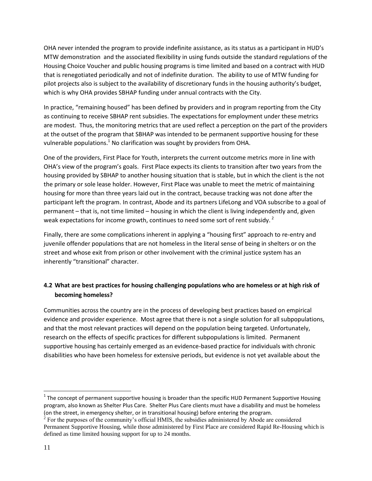OHA never intended the program to provide indefinite assistance, as its status as a participant in HUD's MTW demonstration and the associated flexibility in using funds outside the standard regulations of the Housing Choice Voucher and public housing programs is time limited and based on a contract with HUD that is renegotiated periodically and not of indefinite duration. The ability to use of MTW funding for pilot projects also is subject to the availability of discretionary funds in the housing authority's budget, which is why OHA provides SBHAP funding under annual contracts with the City.

In practice, "remaining housed" has been defined by providers and in program reporting from the City as continuing to receive SBHAP rent subsidies. The expectations for employment under these metrics are modest. Thus, the monitoring metrics that are used reflect a perception on the part of the providers at the outset of the program that SBHAP was intended to be permanent supportive housing for these vulnerable populations.<sup>1</sup> No clarification was sought by providers from OHA.

One of the providers, First Place for Youth, interprets the current outcome metrics more in line with OHA's view of the program's goals. First Place expects its clients to transition after two years from the housing provided by SBHAP to another housing situation that is stable, but in which the client is the not the primary or sole lease holder. However, First Place was unable to meet the metric of maintaining housing for more than three years laid out in the contract, because tracking was not done after the participant left the program. In contrast, Abode and its partners LifeLong and VOA subscribe to a goal of permanent – that is, not time limited – housing in which the client is living independently and, given weak expectations for income growth, continues to need some sort of rent subsidy.<sup>2</sup>

Finally, there are some complications inherent in applying a "housing first" approach to re-entry and juvenile offender populations that are not homeless in the literal sense of being in shelters or on the street and whose exit from prison or other involvement with the criminal justice system has an inherently "transitional" character.

# **4.2 What are best practices for housing challenging populations who are homeless or at high risk of becoming homeless?**

Communities across the country are in the process of developing best practices based on empirical evidence and provider experience. Most agree that there is not a single solution for all subpopulations, and that the most relevant practices will depend on the population being targeted. Unfortunately, research on the effects of specific practices for different subpopulations is limited. Permanent supportive housing has certainly emerged as an evidence-based practice for individuals with chronic disabilities who have been homeless for extensive periods, but evidence is not yet available about the

 $\overline{\phantom{a}}$ 

 $^1$  The concept of permanent supportive housing is broader than the specific HUD Permanent Supportive Housing program, also known as Shelter Plus Care. Shelter Plus Care clients must have a disability and must be homeless (on the street, in emergency shelter, or in transitional housing) before entering the program.

 $2^{2}$  For the purposes of the community's official HMIS, the subsidies administered by Abode are considered Permanent Supportive Housing, while those administered by First Place are considered Rapid Re-Housing which is defined as time limited housing support for up to 24 months.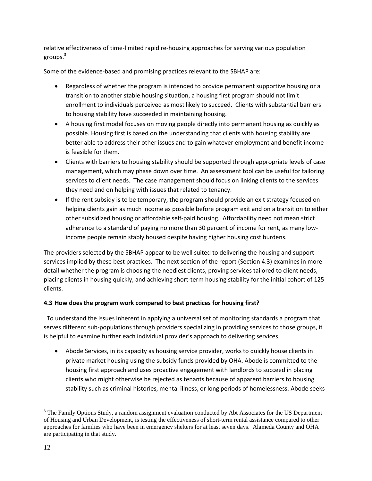relative effectiveness of time-limited rapid re-housing approaches for serving various population groups.<sup>3</sup>

Some of the evidence-based and promising practices relevant to the SBHAP are:

- Regardless of whether the program is intended to provide permanent supportive housing or a transition to another stable housing situation, a housing first program should not limit enrollment to individuals perceived as most likely to succeed. Clients with substantial barriers to housing stability have succeeded in maintaining housing.
- A housing first model focuses on moving people directly into permanent housing as quickly as possible. Housing first is based on the understanding that clients with housing stability are better able to address their other issues and to gain whatever employment and benefit income is feasible for them.
- Clients with barriers to housing stability should be supported through appropriate levels of case management, which may phase down over time. An assessment tool can be useful for tailoring services to client needs. The case management should focus on linking clients to the services they need and on helping with issues that related to tenancy.
- If the rent subsidy is to be temporary, the program should provide an exit strategy focused on helping clients gain as much income as possible before program exit and on a transition to either other subsidized housing or affordable self-paid housing. Affordability need not mean strict adherence to a standard of paying no more than 30 percent of income for rent, as many lowincome people remain stably housed despite having higher housing cost burdens.

The providers selected by the SBHAP appear to be well suited to delivering the housing and support services implied by these best practices. The next section of the report (Section 4.3) examines in more detail whether the program is choosing the neediest clients, proving services tailored to client needs, placing clients in housing quickly, and achieving short-term housing stability for the initial cohort of 125 clients.

# **4.3 How does the program work compared to best practices for housing first?**

 To understand the issues inherent in applying a universal set of monitoring standards a program that serves different sub-populations through providers specializing in providing services to those groups, it is helpful to examine further each individual provider's approach to delivering services.

 Abode Services, in its capacity as housing service provider, works to quickly house clients in private market housing using the subsidy funds provided by OHA. Abode is committed to the housing first approach and uses proactive engagement with landlords to succeed in placing clients who might otherwise be rejected as tenants because of apparent barriers to housing stability such as criminal histories, mental illness, or long periods of homelessness. Abode seeks

 $\overline{a}$ 

<sup>&</sup>lt;sup>3</sup> The Family Options Study, a random assignment evaluation conducted by Abt Associates for the US Department of Housing and Urban Development, is testing the effectiveness of short-term rental assistance compared to other approaches for families who have been in emergency shelters for at least seven days. Alameda County and OHA are participating in that study.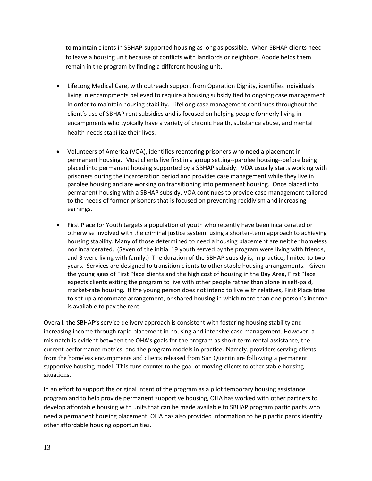to maintain clients in SBHAP-supported housing as long as possible. When SBHAP clients need to leave a housing unit because of conflicts with landlords or neighbors, Abode helps them remain in the program by finding a different housing unit.

- LifeLong Medical Care, with outreach support from Operation Dignity, identifies individuals living in encampments believed to require a housing subsidy tied to ongoing case management in order to maintain housing stability. LifeLong case management continues throughout the client's use of SBHAP rent subsidies and is focused on helping people formerly living in encampments who typically have a variety of chronic health, substance abuse, and mental health needs stabilize their lives.
- Volunteers of America (VOA), identifies reentering prisoners who need a placement in permanent housing. Most clients live first in a group setting--parolee housing--before being placed into permanent housing supported by a SBHAP subsidy. VOA usually starts working with prisoners during the incarceration period and provides case management while they live in parolee housing and are working on transitioning into permanent housing. Once placed into permanent housing with a SBHAP subsidy, VOA continues to provide case management tailored to the needs of former prisoners that is focused on preventing recidivism and increasing earnings.
- First Place for Youth targets a population of youth who recently have been incarcerated or otherwise involved with the criminal justice system, using a shorter-term approach to achieving housing stability. Many of those determined to need a housing placement are neither homeless nor incarcerated. (Seven of the initial 19 youth served by the program were living with friends, and 3 were living with family.) The duration of the SBHAP subsidy is, in practice, limited to two years. Services are designed to transition clients to other stable housing arrangements. Given the young ages of First Place clients and the high cost of housing in the Bay Area, First Place expects clients exiting the program to live with other people rather than alone in self-paid, market-rate housing. If the young person does not intend to live with relatives, First Place tries to set up a roommate arrangement, or shared housing in which more than one person's income is available to pay the rent.

Overall, the SBHAP's service delivery approach is consistent with fostering housing stability and increasing income through rapid placement in housing and intensive case management. However, a mismatch is evident between the OHA's goals for the program as short-term rental assistance, the current performance metrics, and the program models in practice. Namely, providers serving clients from the homeless encampments and clients released from San Quentin are following a permanent supportive housing model. This runs counter to the goal of moving clients to other stable housing situations.

In an effort to support the original intent of the program as a pilot temporary housing assistance program and to help provide permanent supportive housing, OHA has worked with other partners to develop affordable housing with units that can be made available to SBHAP program participants who need a permanent housing placement. OHA has also provided information to help participants identify other affordable housing opportunities.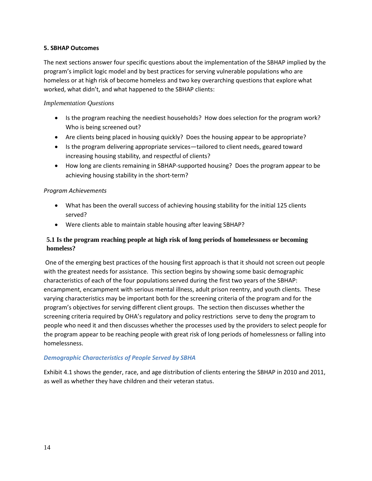## **5. SBHAP Outcomes**

The next sections answer four specific questions about the implementation of the SBHAP implied by the program's implicit logic model and by best practices for serving vulnerable populations who are homeless or at high risk of become homeless and two key overarching questions that explore what worked, what didn't, and what happened to the SBHAP clients:

# *Implementation Questions*

- Is the program reaching the neediest households? How does selection for the program work? Who is being screened out?
- Are clients being placed in housing quickly? Does the housing appear to be appropriate?
- Is the program delivering appropriate services—tailored to client needs, geared toward increasing housing stability, and respectful of clients?
- How long are clients remaining in SBHAP-supported housing? Does the program appear to be achieving housing stability in the short-term?

## *Program Achievements*

- What has been the overall success of achieving housing stability for the initial 125 clients served?
- Were clients able to maintain stable housing after leaving SBHAP?

# **5.1 Is the program reaching people at high risk of long periods of homelessness or becoming homeless?**

One of the emerging best practices of the housing first approach is that it should not screen out people with the greatest needs for assistance. This section begins by showing some basic demographic characteristics of each of the four populations served during the first two years of the SBHAP: encampment, encampment with serious mental illness, adult prison reentry, and youth clients. These varying characteristics may be important both for the screening criteria of the program and for the program's objectives for serving different client groups. The section then discusses whether the screening criteria required by OHA's regulatory and policy restrictions serve to deny the program to people who need it and then discusses whether the processes used by the providers to select people for the program appear to be reaching people with great risk of long periods of homelessness or falling into homelessness.

# *Demographic Characteristics of People Served by SBHA*

Exhibit 4.1 shows the gender, race, and age distribution of clients entering the SBHAP in 2010 and 2011, as well as whether they have children and their veteran status.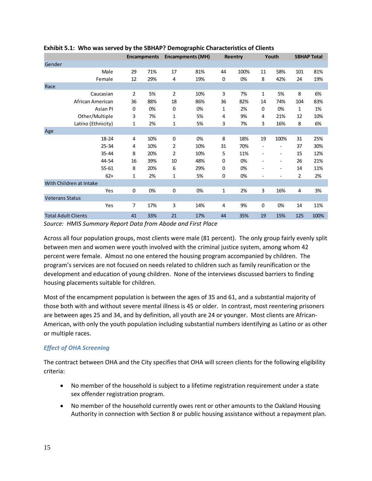|                            |                | <b>Encampments</b> | <b>Encampments (MH)</b> |     | Reentry     |      | Youth          |                          | <b>SBHAP Total</b> |      |
|----------------------------|----------------|--------------------|-------------------------|-----|-------------|------|----------------|--------------------------|--------------------|------|
| Gender                     |                |                    |                         |     |             |      |                |                          |                    |      |
| Male                       | 29             | 71%                | 17                      | 81% | 44          | 100% | 11             | 58%                      | 101                | 81%  |
| Female                     | 12             | 29%                | 4                       | 19% | 0           | 0%   | 8              | 42%                      | 24                 | 19%  |
| Race                       |                |                    |                         |     |             |      |                |                          |                    |      |
| Caucasian                  | $\overline{2}$ | 5%                 | $\overline{2}$          | 10% | 3           | 7%   | 1              | 5%                       | 8                  | 6%   |
| African American           | 36             | 88%                | 18                      | 86% | 36          | 82%  | 14             | 74%                      | 104                | 83%  |
| <b>Asian PI</b>            | $\mathbf 0$    | 0%                 | 0                       | 0%  | 1           | 2%   | $\mathbf 0$    | 0%                       | 1                  | 1%   |
| Other/Multiple             | 3              | 7%                 | 1                       | 5%  | 4           | 9%   | 4              | 21%                      | 12                 | 10%  |
| Latino (Ethnicity)         | 1              | 2%                 | 1                       | 5%  | 3           | 7%   | 3              | 16%                      | 8                  | 6%   |
| Age                        |                |                    |                         |     |             |      |                |                          |                    |      |
| 18-24                      | 4              | 10%                | 0                       | 0%  | 8           | 18%  | 19             | 100%                     | 31                 | 25%  |
| $25 - 34$                  | 4              | 10%                | 2                       | 10% | 31          | 70%  |                |                          | 37                 | 30%  |
| 35-44                      | 8              | 20%                | 2                       | 10% | 5           | 11%  | $\overline{a}$ | $\overline{\phantom{a}}$ | 15                 | 12%  |
| 44-54                      | 16             | 39%                | 10                      | 48% | 0           | 0%   | ٠              | ٠                        | 26                 | 21%  |
| $55 - 61$                  | 8              | 20%                | 6                       | 29% | 0           | 0%   |                | $\overline{\phantom{a}}$ | 14                 | 11%  |
| $62+$                      | 1              | 2%                 | 1                       | 5%  | 0           | 0%   |                | ۰                        | 2                  | 2%   |
| With Children at Intake    |                |                    |                         |     |             |      |                |                          |                    |      |
| Yes                        | 0              | 0%                 | 0                       | 0%  | $\mathbf 1$ | 2%   | 3              | 16%                      | 4                  | 3%   |
| <b>Veterans Status</b>     |                |                    |                         |     |             |      |                |                          |                    |      |
| Yes                        | 7              | 17%                | 3                       | 14% | 4           | 9%   | 0              | 0%                       | 14                 | 11%  |
| <b>Total Adult Clients</b> | 41             | 33%                | 21                      | 17% | 44          | 35%  | 19             | 15%                      | 125                | 100% |

# **Exhibit 5.1: Who was served by the SBHAP? Demographic Characteristics of Clients**

*Source: HMIS Summary Report Data from Abode and First Place*

Across all four population groups, most clients were male (81 percent). The only group fairly evenly split between men and women were youth involved with the criminal justice system, among whom 42 percent were female. Almost no one entered the housing program accompanied by children. The program's services are not focused on needs related to children such as family reunification or the development and education of young children. None of the interviews discussed barriers to finding housing placements suitable for children.

Most of the encampment population is between the ages of 35 and 61, and a substantial majority of those both with and without severe mental illness is 45 or older. In contrast, most reentering prisoners are between ages 25 and 34, and by definition, all youth are 24 or younger. Most clients are African-American, with only the youth population including substantial numbers identifying as Latino or as other or multiple races.

# *Effect of OHA Screening*

The contract between OHA and the City specifies that OHA will screen clients for the following eligibility criteria:

- No member of the household is subject to a lifetime registration requirement under a state sex offender registration program.
- No member of the household currently owes rent or other amounts to the Oakland Housing Authority in connection with Section 8 or public housing assistance without a repayment plan.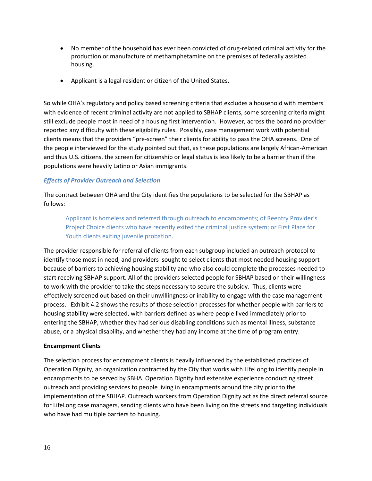- No member of the household has ever been convicted of drug-related criminal activity for the production or manufacture of methamphetamine on the premises of federally assisted housing.
- Applicant is a legal resident or citizen of the United States.

So while OHA's regulatory and policy based screening criteria that excludes a household with members with evidence of recent criminal activity are not applied to SBHAP clients, some screening criteria might still exclude people most in need of a housing first intervention. However, across the board no provider reported any difficulty with these eligibility rules. Possibly, case management work with potential clients means that the providers "pre-screen" their clients for ability to pass the OHA screens. One of the people interviewed for the study pointed out that, as these populations are largely African-American and thus U.S. citizens, the screen for citizenship or legal status is less likely to be a barrier than if the populations were heavily Latino or Asian immigrants.

## *Effects of Provider Outreach and Selection*

The contract between OHA and the City identifies the populations to be selected for the SBHAP as follows:

Applicant is homeless and referred through outreach to encampments; of Reentry Provider's Project Choice clients who have recently exited the criminal justice system; or First Place for Youth clients exiting juvenile probation.

The provider responsible for referral of clients from each subgroup included an outreach protocol to identify those most in need, and providers sought to select clients that most needed housing support because of barriers to achieving housing stability and who also could complete the processes needed to start receiving SBHAP support. All of the providers selected people for SBHAP based on their willingness to work with the provider to take the steps necessary to secure the subsidy. Thus, clients were effectively screened out based on their unwillingness or inability to engage with the case management process. Exhibit 4.2 shows the results of those selection processes for whether people with barriers to housing stability were selected, with barriers defined as where people lived immediately prior to entering the SBHAP, whether they had serious disabling conditions such as mental illness, substance abuse, or a physical disability, and whether they had any income at the time of program entry.

#### **Encampment Clients**

The selection process for encampment clients is heavily influenced by the established practices of Operation Dignity, an organization contracted by the City that works with LifeLong to identify people in encampments to be served by SBHA. Operation Dignity had extensive experience conducting street outreach and providing services to people living in encampments around the city prior to the implementation of the SBHAP. Outreach workers from Operation Dignity act as the direct referral source for LifeLong case managers, sending clients who have been living on the streets and targeting individuals who have had multiple barriers to housing.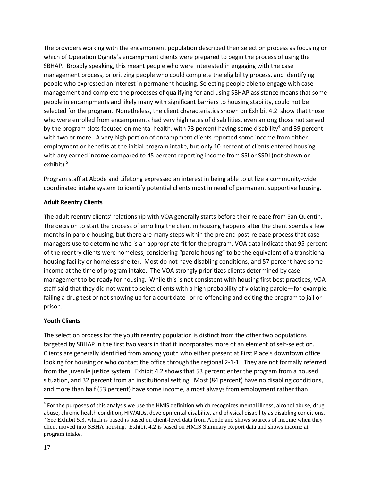The providers working with the encampment population described their selection process as focusing on which of Operation Dignity's encampment clients were prepared to begin the process of using the SBHAP. Broadly speaking, this meant people who were interested in engaging with the case management process, prioritizing people who could complete the eligibility process, and identifying people who expressed an interest in permanent housing. Selecting people able to engage with case management and complete the processes of qualifying for and using SBHAP assistance means that some people in encampments and likely many with significant barriers to housing stability, could not be selected for the program. Nonetheless, the client characteristics shown on Exhibit 4.2 show that those who were enrolled from encampments had very high rates of disabilities, even among those not served by the program slots focused on mental health, with 73 percent having some disability<sup>4</sup> and 39 percent with two or more. A very high portion of encampment clients reported some income from either employment or benefits at the initial program intake, but only 10 percent of clients entered housing with any earned income compared to 45 percent reporting income from SSI or SSDI (not shown on exhibit). $5$ 

Program staff at Abode and LifeLong expressed an interest in being able to utilize a community-wide coordinated intake system to identify potential clients most in need of permanent supportive housing.

# **Adult Reentry Clients**

The adult reentry clients' relationship with VOA generally starts before their release from San Quentin. The decision to start the process of enrolling the client in housing happens after the client spends a few months in parole housing, but there are many steps within the pre and post-release process that case managers use to determine who is an appropriate fit for the program. VOA data indicate that 95 percent of the reentry clients were homeless, considering "parole housing" to be the equivalent of a transitional housing facility or homeless shelter. Most do not have disabling conditions, and 57 percent have some income at the time of program intake. The VOA strongly prioritizes clients determined by case management to be ready for housing. While this is not consistent with housing first best practices, VOA staff said that they did not want to select clients with a high probability of violating parole—for example, failing a drug test or not showing up for a court date--or re-offending and exiting the program to jail or prison.

# **Youth Clients**

The selection process for the youth reentry population is distinct from the other two populations targeted by SBHAP in the first two years in that it incorporates more of an element of self-selection. Clients are generally identified from among youth who either present at First Place's downtown office looking for housing or who contact the office through the regional 2-1-1. They are not formally referred from the juvenile justice system. Exhibit 4.2 shows that 53 percent enter the program from a housed situation, and 32 percent from an institutional setting. Most (84 percent) have no disabling conditions, and more than half (53 percent) have some income, almost always from employment rather than

l

<sup>&</sup>lt;sup>4</sup> For the purposes of this analysis we use the HMIS definition which recognizes mental illness, alcohol abuse, drug abuse, chronic health condition, HIV/AIDs, developmental disability, and physical disability as disabling conditions.  $<sup>5</sup>$  See Exhibit 5.3, which is based is based on client-level data from Abode and shows sources of income when they</sup> client moved into SBHA housing. Exhibit 4.2 is based on HMIS Summary Report data and shows income at program intake.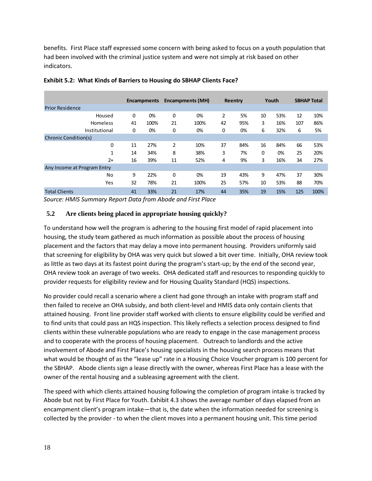benefits. First Place staff expressed some concern with being asked to focus on a youth population that had been involved with the criminal justice system and were not simply at risk based on other indicators.

|                             |    | <b>Encampments</b> |    | <b>Encampments (MH)</b> | Reentry        |     | Youth |     | <b>SBHAP Total</b> |      |
|-----------------------------|----|--------------------|----|-------------------------|----------------|-----|-------|-----|--------------------|------|
| <b>Prior Residence</b>      |    |                    |    |                         |                |     |       |     |                    |      |
| Housed                      | 0  | 0%                 | 0  | 0%                      | $\overline{2}$ | 5%  | 10    | 53% | 12                 | 10%  |
| Homeless                    | 41 | 100%               | 21 | 100%                    | 42             | 95% | 3     | 16% | 107                | 86%  |
| Institutional               | 0  | 0%                 | 0  | 0%                      | 0              | 0%  | 6     | 32% | 6                  | 5%   |
| Chronic Condition(s)        |    |                    |    |                         |                |     |       |     |                    |      |
| 0                           | 11 | 27%                | 2  | 10%                     | 37             | 84% | 16    | 84% | 66                 | 53%  |
| 1                           | 14 | 34%                | 8  | 38%                     | 3              | 7%  | 0     | 0%  | 25                 | 20%  |
| $2+$                        | 16 | 39%                | 11 | 52%                     | 4              | 9%  | 3     | 16% | 34                 | 27%  |
| Any Income at Program Entry |    |                    |    |                         |                |     |       |     |                    |      |
| No                          | 9  | 22%                | 0  | 0%                      | 19             | 43% | 9     | 47% | 37                 | 30%  |
| Yes                         | 32 | 78%                | 21 | 100%                    | 25             | 57% | 10    | 53% | 88                 | 70%  |
| <b>Total Clients</b>        | 41 | 33%                | 21 | 17%                     | 44             | 35% | 19    | 15% | 125                | 100% |

## **Exhibit 5.2: What Kinds of Barriers to Housing do SBHAP Clients Face?**

*Source: HMIS Summary Report Data from Abode and First Place*

# **5.2 Are clients being placed in appropriate housing quickly?**

To understand how well the program is adhering to the housing first model of rapid placement into housing, the study team gathered as much information as possible about the process of housing placement and the factors that may delay a move into permanent housing. Providers uniformly said that screening for eligibility by OHA was very quick but slowed a bit over time. Initially, OHA review took as little as two days at its fastest point during the program's start-up; by the end of the second year, OHA review took an average of two weeks. OHA dedicated staff and resources to responding quickly to provider requests for eligibility review and for Housing Quality Standard (HQS) inspections.

No provider could recall a scenario where a client had gone through an intake with program staff and then failed to receive an OHA subsidy, and both client-level and HMIS data only contain clients that attained housing. Front line provider staff worked with clients to ensure eligibility could be verified and to find units that could pass an HQS inspection. This likely reflects a selection process designed to find clients within these vulnerable populations who are ready to engage in the case management process and to cooperate with the process of housing placement. Outreach to landlords and the active involvement of Abode and First Place's housing specialists in the housing search process means that what would be thought of as the "lease up" rate in a Housing Choice Voucher program is 100 percent for the SBHAP. Abode clients sign a lease directly with the owner, whereas First Place has a lease with the owner of the rental housing and a subleasing agreement with the client.

The speed with which clients attained housing following the completion of program intake is tracked by Abode but not by First Place for Youth. Exhibit 4.3 shows the average number of days elapsed from an encampment client's program intake—that is, the date when the information needed for screening is collected by the provider - to when the client moves into a permanent housing unit. This time period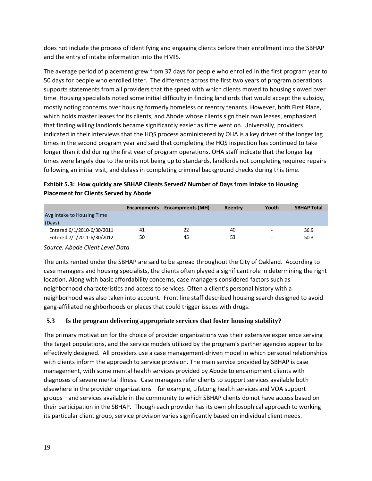does not include the process of identifying and engaging clients before their enrollment into the SBHAP and the entry of intake information into the HMIS.

The average period of placement grew from 37 days for people who enrolled in the first program year to 50 days for people who enrolled later. The difference across the first two years of program operations supports statements from all providers that the speed with which clients moved to housing slowed over time. Housing specialists noted some initial difficulty in finding landlords that would accept the subsidy, mostly noting concerns over housing formerly homeless or reentry tenants. However, both First Place, which holds master leases for its clients, and Abode whose clients sign their own leases, emphasized that finding willing landlords became significantly easier as time went on. Universally, providers indicated in their interviews that the HQS process administered by OHA is a key driver of the longer lag times in the second program year and said that completing the HQS inspection has continued to take longer than it did during the first year of program operations. OHA staff indicate that the longer lag times were largely due to the units not being up to standards, landlords not completing required repairs following an initial visit, and delays in completing criminal background checks during this time.

| Exhibit 5.3: How quickly are SBHAP Clients Served? Number of Days from Intake to Housing |
|------------------------------------------------------------------------------------------|
| <b>Placement for Clients Served by Abode</b>                                             |

|                                 | <b>Encampments</b> | Encampments (MH) | Reentry | Youth | <b>SBHAP Total</b> |
|---------------------------------|--------------------|------------------|---------|-------|--------------------|
| Avg Intake to Housing Time      |                    |                  |         |       |                    |
| (Days)                          |                    |                  |         |       |                    |
| Entered 6/1/2010-6/30/2011      | 41                 | 22               | 40      |       | 36.9               |
| Entered 7/1/2011-6/30/2012      | 50                 | 45               | 53      | -     | 50.3               |
| Source: Abode Client Level Data |                    |                  |         |       |                    |

The units rented under the SBHAP are said to be spread throughout the City of Oakland. According to case managers and housing specialists, the clients often played a significant role in determining the right location. Along with basic affordability concerns, case managers considered factors such as neighborhood characteristics and access to services. Often a client's personal history with a neighborhood was also taken into account. Front line staff described housing search designed to avoid gang-affiliated neighborhoods or places that could trigger issues with drugs.

# **5.3 Is the program delivering appropriate services that foster housing stability?**

The primary motivation for the choice of provider organizations was their extensive experience serving the target populations, and the service models utilized by the program's partner agencies appear to be effectively designed. All providers use a case management-driven model in which personal relationships with clients inform the approach to service provision. The main service provided by SBHAP is case management, with some mental health services provided by Abode to encampment clients with diagnoses of severe mental illness. Case managers refer clients to support services available both elsewhere in the provider organizations—for example, LifeLong health services and VOA support groups—and services available in the community to which SBHAP clients do not have access based on their participation in the SBHAP. Though each provider has its own philosophical approach to working its particular client group, service provision varies significantly based on individual client needs.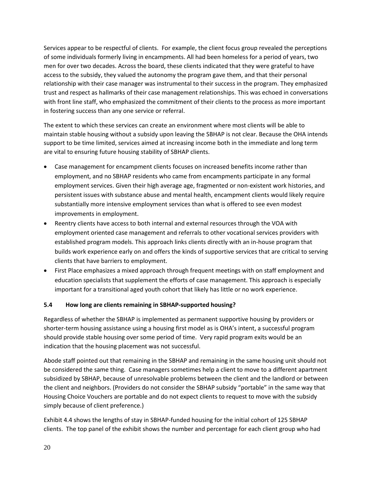Services appear to be respectful of clients. For example, the client focus group revealed the perceptions of some individuals formerly living in encampments. All had been homeless for a period of years, two men for over two decades. Across the board, these clients indicated that they were grateful to have access to the subsidy, they valued the autonomy the program gave them, and that their personal relationship with their case manager was instrumental to their success in the program. They emphasized trust and respect as hallmarks of their case management relationships. This was echoed in conversations with front line staff, who emphasized the commitment of their clients to the process as more important in fostering success than any one service or referral.

The extent to which these services can create an environment where most clients will be able to maintain stable housing without a subsidy upon leaving the SBHAP is not clear. Because the OHA intends support to be time limited, services aimed at increasing income both in the immediate and long term are vital to ensuring future housing stability of SBHAP clients.

- Case management for encampment clients focuses on increased benefits income rather than employment, and no SBHAP residents who came from encampments participate in any formal employment services. Given their high average age, fragmented or non-existent work histories, and persistent issues with substance abuse and mental health, encampment clients would likely require substantially more intensive employment services than what is offered to see even modest improvements in employment.
- Reentry clients have access to both internal and external resources through the VOA with employment oriented case management and referrals to other vocational services providers with established program models. This approach links clients directly with an in-house program that builds work experience early on and offers the kinds of supportive services that are critical to serving clients that have barriers to employment.
- First Place emphasizes a mixed approach through frequent meetings with on staff employment and education specialists that supplement the efforts of case management. This approach is especially important for a transitional aged youth cohort that likely has little or no work experience.

# **5.4 How long are clients remaining in SBHAP-supported housing?**

Regardless of whether the SBHAP is implemented as permanent supportive housing by providers or shorter-term housing assistance using a housing first model as is OHA's intent, a successful program should provide stable housing over some period of time. Very rapid program exits would be an indication that the housing placement was not successful.

Abode staff pointed out that remaining in the SBHAP and remaining in the same housing unit should not be considered the same thing. Case managers sometimes help a client to move to a different apartment subsidized by SBHAP, because of unresolvable problems between the client and the landlord or between the client and neighbors. (Providers do not consider the SBHAP subsidy "portable" in the same way that Housing Choice Vouchers are portable and do not expect clients to request to move with the subsidy simply because of client preference.)

Exhibit 4.4 shows the lengths of stay in SBHAP-funded housing for the initial cohort of 125 SBHAP clients. The top panel of the exhibit shows the number and percentage for each client group who had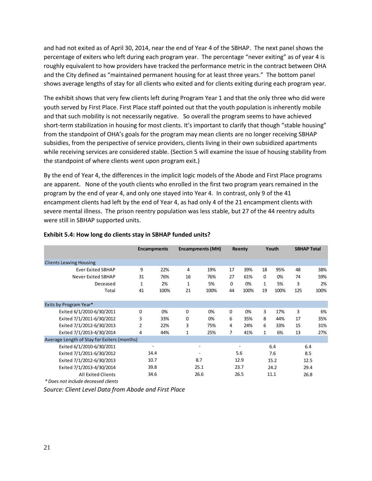and had not exited as of April 30, 2014, near the end of Year 4 of the SBHAP. The next panel shows the percentage of exiters who left during each program year. The percentage "never exiting" as of year 4 is roughly equivalent to how providers have tracked the performance metric in the contract between OHA and the City defined as "maintained permanent housing for at least three years." The bottom panel shows average lengths of stay for all clients who exited and for clients exiting during each program year.

The exhibit shows that very few clients left during Program Year 1 and that the only three who did were youth served by First Place. First Place staff pointed out that the youth population is inherently mobile and that such mobility is not necessarily negative. So overall the program seems to have achieved short-term stabilization in housing for most clients. It's important to clarify that though "stable housing" from the standpoint of OHA's goals for the program may mean clients are no longer receiving SBHAP subsidies, from the perspective of service providers, clients living in their own subsidized apartments while receiving services are considered stable. (Section 5 will examine the issue of housing stability from the standpoint of where clients went upon program exit.)

By the end of Year 4, the differences in the implicit logic models of the Abode and First Place programs are apparent. None of the youth clients who enrolled in the first two program years remained in the program by the end of year 4, and only one stayed into Year 4. In contrast, only 9 of the 41 encampment clients had left by the end of Year 4, as had only 4 of the 21 encampment clients with severe mental illness. The prison reentry population was less stable, but 27 of the 44 reentry adults were still in SBHAP supported units.

|                                             |             | <b>Encampments</b> |    | <b>Encampments (MH)</b> |      | <b>Reenty</b> |      | Youth |      | <b>SBHAP Total</b> |  |
|---------------------------------------------|-------------|--------------------|----|-------------------------|------|---------------|------|-------|------|--------------------|--|
|                                             |             |                    |    |                         |      |               |      |       |      |                    |  |
| <b>Clients Leaving Housing</b>              |             |                    |    |                         |      |               |      |       |      |                    |  |
| <b>Ever Exited SBHAP</b>                    | 9           | 22%                | 4  | 19%                     | 17   | 39%           | 18   | 95%   | 48   | 38%                |  |
| <b>Never Exited SBHAP</b>                   | 31          | 76%                | 16 | 76%                     | 27   | 61%           | 0    | 0%    | 74   | 59%                |  |
| Deceased                                    | 1           | 2%                 | 1  | 5%                      | 0    | 0%            | 1    | 5%    | 3    | 2%                 |  |
| Total                                       | 41          | 100%               | 21 | 100%                    | 44   | 100%          | 19   | 100%  | 125  | 100%               |  |
| Exits by Program Year*                      |             |                    |    |                         |      |               |      |       |      |                    |  |
| Exited 6/1/2010-6/30/2011                   | $\mathbf 0$ | 0%                 | 0  | 0%                      | 0    | 0%            | 3    | 17%   | 3    | 6%                 |  |
| Exited 7/1/2011-6/30/2012                   | 3           | 33%                | 0  | 0%                      | 6    | 35%           | 8    | 44%   | 17   | 35%                |  |
| Exited 7/1/2012-6/30/2013                   | 2           | 22%                | 3  | 75%                     | 4    | 24%           | 6    | 33%   | 15   | 31%                |  |
| Exited 7/1/2013-4/30/2014                   | 4           | 44%                | 1  | 25%                     | 7    | 41%           | 1    | 6%    | 13   | 27%                |  |
| Average Length of Stay for Exiters (months) |             |                    |    |                         |      |               |      |       |      |                    |  |
| Exited 6/1/2010-6/30/2011                   |             |                    |    |                         |      |               |      | 6.4   |      | 6.4                |  |
| Exited 7/1/2011-6/30/2012                   |             | 14.4               |    |                         |      | 5.6           |      | 7.6   |      | 8.5                |  |
| Exited 7/1/2012-6/30/2013                   |             | 10.7               |    | 8.7                     |      | 12.9          |      | 15.2  |      | 12.5               |  |
| Exited 7/1/2013-4/30/2014                   |             | 39.8               |    | 25.1                    | 23.7 |               | 24.2 |       | 29.4 |                    |  |
| <b>All Exited Clients</b>                   |             | 34.6               |    | 26.6                    |      | 26.5          |      | 11.1  |      | 26.8               |  |
| * Does not include deceased clients         |             |                    |    |                         |      |               |      |       |      |                    |  |

#### **Exhibit 5.4: How long do clients stay in SBHAP funded units?**

*\* Does not include deceased clients*

*Source: Client Level Data from Abode and First Place*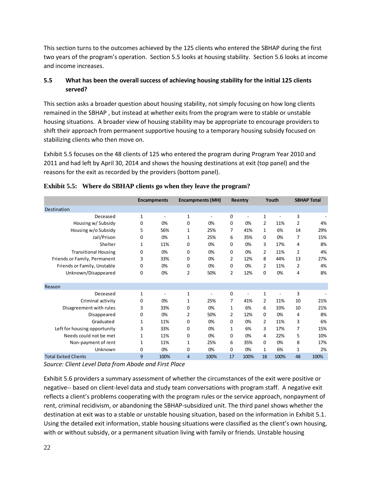This section turns to the outcomes achieved by the 125 clients who entered the SBHAP during the first two years of the program's operation. Section 5.5 looks at housing stability. Section 5.6 looks at income and income increases.

# **5.5 What has been the overall success of achieving housing stability for the initial 125 clients served?**

This section asks a broader question about housing stability, not simply focusing on how long clients remained in the SBHAP , but instead at whether exits from the program were to stable or unstable housing situations. A broader view of housing stability may be appropriate to encourage providers to shift their approach from permanent supportive housing to a temporary housing subsidy focused on stabilizing clients who then move on.

Exhibit 5.5 focuses on the 48 clients of 125 who entered the program during Program Year 2010 and 2011 and had left by April 30, 2014 and shows the housing destinations at exit (top panel) and the reasons for the exit as recorded by the providers (bottom panel).

|                              | <b>Encampments</b> |      | <b>Encampments (MH)</b> |                | Reentry      |                | Youth          |      | <b>SBHAP Total</b> |      |
|------------------------------|--------------------|------|-------------------------|----------------|--------------|----------------|----------------|------|--------------------|------|
| Destination                  |                    |      |                         |                |              |                |                |      |                    |      |
| Deceased                     | $\mathbf{1}$       |      | $\mathbf{1}$            | ۰              | 0            | $\overline{a}$ | 1              |      | 3                  |      |
| Housing w/ Subsidy           | $\Omega$           | 0%   | 0                       | 0%             | $\Omega$     | 0%             | $\overline{2}$ | 11%  | $\overline{2}$     | 4%   |
| Housing w/o Subsidy          | 5                  | 56%  | 1                       | 25%            | 7            | 41%            | $\mathbf{1}$   | 6%   | 14                 | 29%  |
| Jail/Prison                  | $\Omega$           | 0%   | 1                       | 25%            | 6            | 35%            | $\Omega$       | 0%   | 7                  | 15%  |
| Shelter                      | $\mathbf{1}$       | 11%  | 0                       | 0%             | $\Omega$     | 0%             | 3              | 17%  | 4                  | 8%   |
| <b>Transitional Housing</b>  | 0                  | 0%   | 0                       | 0%             | 0            | 0%             | $\overline{2}$ | 11%  | $\overline{2}$     | 4%   |
| Friends or Family, Permanent | 3                  | 33%  | 0                       | 0%             | 2            | 12%            | 8              | 44%  | 13                 | 27%  |
| Friends or Family, Unstable  | 0                  | 0%   | 0                       | 0%             | $\Omega$     | 0%             | $\overline{2}$ | 11%  | $\overline{2}$     | 4%   |
| Unknown/Disappeared          | $\Omega$           | 0%   | 2                       | 50%            | 2            | 12%            | $\Omega$       | 0%   | 4                  | 8%   |
| Reason                       |                    |      |                         |                |              |                |                |      |                    |      |
| Deceased                     | $\mathbf{1}$       |      | $\mathbf{1}$            | $\overline{a}$ | 0            | L.             | $\mathbf{1}$   | ÷.   | 3                  |      |
| Criminal activity            | 0                  | 0%   | $\mathbf{1}$            | 25%            | 7            | 41%            | $\overline{2}$ | 11%  | 10                 | 21%  |
| Disagreement with rules      | 3                  | 33%  | 0                       | 0%             | $\mathbf{1}$ | 6%             | 6              | 33%  | 10                 | 21%  |
| Disappeared                  | 0                  | 0%   | 2                       | 50%            | 2            | 12%            | $\mathbf 0$    | 0%   | 4                  | 8%   |
| Graduated                    | $\mathbf{1}$       | 11%  | 0                       | 0%             | $\Omega$     | 0%             | $\overline{2}$ | 11%  | 3                  | 6%   |
| Left for housing opportunity | 3                  | 33%  | 0                       | 0%             | $\mathbf{1}$ | 6%             | 3              | 17%  | 7                  | 15%  |
| Needs could not be met       | 1                  | 11%  | 0                       | 0%             | $\Omega$     | 0%             | 4              | 22%  | 5                  | 10%  |
| Non-payment of rent          | $\mathbf{1}$       | 11%  | $\mathbf{1}$            | 25%            | 6            | 35%            | $\Omega$       | 0%   | 8                  | 17%  |
| Unknown                      | 0                  | 0%   | 0                       | 0%             | $\Omega$     | 0%             | $\mathbf{1}$   | 6%   | 1                  | 2%   |
| <b>Total Exited Clients</b>  | 9                  | 100% | $\overline{4}$          | 100%           | 17           | 100%           | 18             | 100% | 48                 | 100% |

# **Exhibit 5.5: Where do SBHAP clients go when they leave the program?**

*Source: Client Level Data from Abode and First Place*

Exhibit 5.6 providers a summary assessment of whether the circumstances of the exit were positive or negative-- based on client-level data and study team conversations with program staff. A negative exit reflects a client's problems cooperating with the program rules or the service approach, nonpayment of rent, criminal recidivism, or abandoning the SBHAP-subsidized unit. The third panel shows whether the destination at exit was to a stable or unstable housing situation, based on the information in Exhibit 5.1. Using the detailed exit information, stable housing situations were classified as the client's own housing, with or without subsidy, or a permanent situation living with family or friends. Unstable housing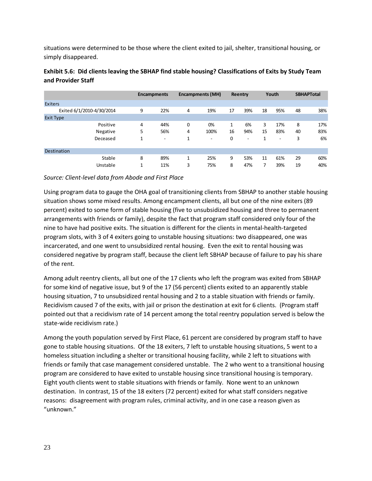situations were determined to be those where the client exited to jail, shelter, transitional housing, or simply disappeared.

|                           |   | <b>Encampments</b>       |   | Encampments (MH)         |    | Reentry                  |                | Youth                    |    | <b>SBHAPTotal</b> |
|---------------------------|---|--------------------------|---|--------------------------|----|--------------------------|----------------|--------------------------|----|-------------------|
|                           |   |                          |   |                          |    |                          |                |                          |    |                   |
| <b>Exiters</b>            |   |                          |   |                          |    |                          |                |                          |    |                   |
| Exited 6/1/2010-4/30/2014 | 9 | 22%                      | 4 | 19%                      | 17 | 39%                      | 18             | 95%                      | 48 | 38%               |
| <b>Exit Type</b>          |   |                          |   |                          |    |                          |                |                          |    |                   |
| Positive                  | 4 | 44%                      | 0 | 0%                       | 1  | 6%                       | 3              | 17%                      | 8  | 17%               |
| Negative                  | 5 | 56%                      | 4 | 100%                     | 16 | 94%                      | 15             | 83%                      | 40 | 83%               |
| Deceased                  | 1 | $\overline{\phantom{a}}$ | 1 | $\overline{\phantom{a}}$ | 0  | $\overline{\phantom{a}}$ | 1              | $\overline{\phantom{a}}$ | 3  | 6%                |
|                           |   |                          |   |                          |    |                          |                |                          |    |                   |
| <b>Destination</b>        |   |                          |   |                          |    |                          |                |                          |    |                   |
| Stable                    | 8 | 89%                      | 1 | 25%                      | 9  | 53%                      | 11             | 61%                      | 29 | 60%               |
| Unstable                  | 1 | 11%                      | 3 | 75%                      | 8  | 47%                      | $\overline{7}$ | 39%                      | 19 | 40%               |

# **Exhibit 5.6: Did clients leaving the SBHAP find stable housing? Classifications of Exits by Study Team and Provider Staff**

#### *Source: Client-level data from Abode and First Place*

Using program data to gauge the OHA goal of transitioning clients from SBHAP to another stable housing situation shows some mixed results. Among encampment clients, all but one of the nine exiters (89 percent) exited to some form of stable housing (five to unsubsidized housing and three to permanent arrangements with friends or family), despite the fact that program staff considered only four of the nine to have had positive exits. The situation is different for the clients in mental-health-targeted program slots, with 3 of 4 exiters going to unstable housing situations: two disappeared, one was incarcerated, and one went to unsubsidized rental housing. Even the exit to rental housing was considered negative by program staff, because the client left SBHAP because of failure to pay his share of the rent.

Among adult reentry clients, all but one of the 17 clients who left the program was exited from SBHAP for some kind of negative issue, but 9 of the 17 (56 percent) clients exited to an apparently stable housing situation, 7 to unsubsidized rental housing and 2 to a stable situation with friends or family. Recidivism caused 7 of the exits, with jail or prison the destination at exit for 6 clients. (Program staff pointed out that a recidivism rate of 14 percent among the total reentry population served is below the state-wide recidivism rate.)

Among the youth population served by First Place, 61 percent are considered by program staff to have gone to stable housing situations. Of the 18 exiters, 7 left to unstable housing situations, 5 went to a homeless situation including a shelter or transitional housing facility, while 2 left to situations with friends or family that case management considered unstable. The 2 who went to a transitional housing program are considered to have exited to unstable housing since transitional housing is temporary. Eight youth clients went to stable situations with friends or family. None went to an unknown destination. In contrast, 15 of the 18 exiters (72 percent) exited for what staff considers negative reasons: disagreement with program rules, criminal activity, and in one case a reason given as "unknown."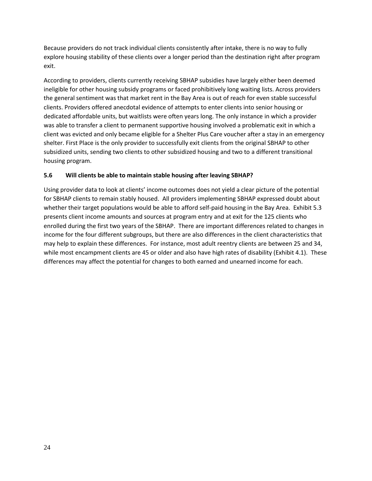Because providers do not track individual clients consistently after intake, there is no way to fully explore housing stability of these clients over a longer period than the destination right after program exit.

According to providers, clients currently receiving SBHAP subsidies have largely either been deemed ineligible for other housing subsidy programs or faced prohibitively long waiting lists. Across providers the general sentiment was that market rent in the Bay Area is out of reach for even stable successful clients. Providers offered anecdotal evidence of attempts to enter clients into senior housing or dedicated affordable units, but waitlists were often years long. The only instance in which a provider was able to transfer a client to permanent supportive housing involved a problematic exit in which a client was evicted and only became eligible for a Shelter Plus Care voucher after a stay in an emergency shelter. First Place is the only provider to successfully exit clients from the original SBHAP to other subsidized units, sending two clients to other subsidized housing and two to a different transitional housing program.

## **5.6 Will clients be able to maintain stable housing after leaving SBHAP?**

Using provider data to look at clients' income outcomes does not yield a clear picture of the potential for SBHAP clients to remain stably housed. All providers implementing SBHAP expressed doubt about whether their target populations would be able to afford self-paid housing in the Bay Area. Exhibit 5.3 presents client income amounts and sources at program entry and at exit for the 125 clients who enrolled during the first two years of the SBHAP. There are important differences related to changes in income for the four different subgroups, but there are also differences in the client characteristics that may help to explain these differences. For instance, most adult reentry clients are between 25 and 34, while most encampment clients are 45 or older and also have high rates of disability (Exhibit 4.1). These differences may affect the potential for changes to both earned and unearned income for each.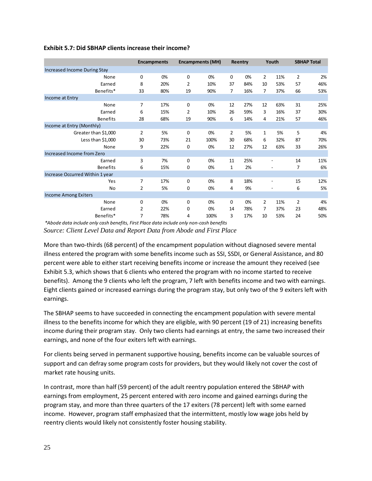|                                 |                | <b>Encampments</b> |                | <b>Encampments (MH)</b> |                | Reentry |                | Youth          |                | <b>SBHAP Total</b> |  |
|---------------------------------|----------------|--------------------|----------------|-------------------------|----------------|---------|----------------|----------------|----------------|--------------------|--|
|                                 |                |                    |                |                         |                |         |                |                |                |                    |  |
| Increased Income During Stay    |                |                    |                |                         |                |         |                |                |                |                    |  |
| None                            | 0              | 0%                 | 0              | 0%                      | 0              | 0%      | $\overline{2}$ | 11%            | $\overline{2}$ | 2%                 |  |
| Earned                          | 8              | 20%                | $\overline{2}$ | 10%                     | 37             | 84%     | 10             | 53%            | 57             | 46%                |  |
| Benefits*                       | 33             | 80%                | 19             | 90%                     | $\overline{7}$ | 16%     | 7              | 37%            | 66             | 53%                |  |
| Income at Entry                 |                |                    |                |                         |                |         |                |                |                |                    |  |
| None                            | $\overline{7}$ | 17%                | 0              | 0%                      | 12             | 27%     | 12             | 63%            | 31             | 25%                |  |
| Earned                          | 6              | 15%                | 2              | 10%                     | 26             | 59%     | 3              | 16%            | 37             | 30%                |  |
| Benefits                        | 28             | 68%                | 19             | 90%                     | 6              | 14%     | 4              | 21%            | 57             | 46%                |  |
| Income at Entry (Monthly)       |                |                    |                |                         |                |         |                |                |                |                    |  |
| Greater than \$1,000            | $\overline{2}$ | 5%                 | 0              | 0%                      | $\overline{2}$ | 5%      | 1              | 5%             | 5              | 4%                 |  |
| Less than \$1,000               | 30             | 73%                | 21             | 100%                    | 30             | 68%     | 6              | 32%            | 87             | 70%                |  |
| None                            | 9              | 22%                | 0              | 0%                      | 12             | 27%     | 12             | 63%            | 33             | 26%                |  |
| Increased Income from Zero      |                |                    |                |                         |                |         |                |                |                |                    |  |
| Earned                          | $\overline{3}$ | 7%                 | $\mathbf 0$    | 0%                      | 11             | 25%     |                |                | 14             | 11%                |  |
| <b>Benefits</b>                 | 6              | 15%                | 0              | 0%                      | $\mathbf{1}$   | 2%      |                |                | 7              | 6%                 |  |
| Increase Occurred Within 1 year |                |                    |                |                         |                |         |                |                |                |                    |  |
| Yes                             | 7              | 17%                | 0              | 0%                      | 8              | 18%     |                | $\overline{a}$ | 15             | 12%                |  |
| No                              | $\overline{2}$ | 5%                 | 0              | 0%                      | 4              | 9%      |                |                | 6              | 5%                 |  |
| <b>Income Among Exiters</b>     |                |                    |                |                         |                |         |                |                |                |                    |  |
| None                            | $\Omega$       | 0%                 | 0              | 0%                      | $\Omega$       | 0%      | $\overline{2}$ | 11%            | $\overline{2}$ | 4%                 |  |
| Earned                          | 2              | 22%                | 0              | 0%                      | 14             | 78%     | 7              | 37%            | 23             | 48%                |  |
| Benefits*                       | 7              | 78%                | 4              | 100%                    | 3              | 17%     | 10             | 53%            | 24             | 50%                |  |

#### **Exhibit 5.7: Did SBHAP clients increase their income?**

*\*Abode data include only cash benefits, First Place data include only non-cash benefits*

*Source: Client Level Data and Report Data from Abode and First Place*

More than two-thirds (68 percent) of the encampment population without diagnosed severe mental illness entered the program with some benefits income such as SSI, SSDI, or General Assistance, and 80 percent were able to either start receiving benefits income or increase the amount they received (see Exhibit 5.3, which shows that 6 clients who entered the program with no income started to receive benefits). Among the 9 clients who left the program, 7 left with benefits income and two with earnings. Eight clients gained or increased earnings during the program stay, but only two of the 9 exiters left with earnings.

The SBHAP seems to have succeeded in connecting the encampment population with severe mental illness to the benefits income for which they are eligible, with 90 percent (19 of 21) increasing benefits income during their program stay. Only two clients had earnings at entry, the same two increased their earnings, and none of the four exiters left with earnings.

For clients being served in permanent supportive housing, benefits income can be valuable sources of support and can defray some program costs for providers, but they would likely not cover the cost of market rate housing units.

In contrast, more than half (59 percent) of the adult reentry population entered the SBHAP with earnings from employment, 25 percent entered with zero income and gained earnings during the program stay, and more than three quarters of the 17 exiters (78 percent) left with some earned income. However, program staff emphasized that the intermittent, mostly low wage jobs held by reentry clients would likely not consistently foster housing stability.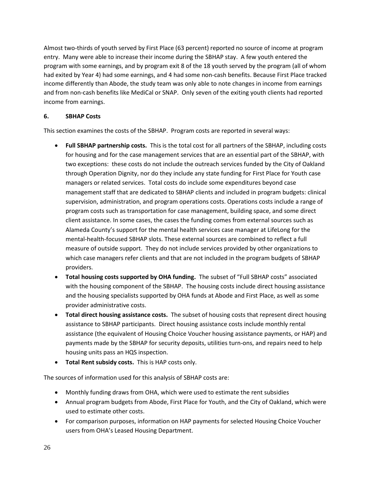Almost two-thirds of youth served by First Place (63 percent) reported no source of income at program entry. Many were able to increase their income during the SBHAP stay. A few youth entered the program with some earnings, and by program exit 8 of the 18 youth served by the program (all of whom had exited by Year 4) had some earnings, and 4 had some non-cash benefits. Because First Place tracked income differently than Abode, the study team was only able to note changes in income from earnings and from non-cash benefits like MediCal or SNAP. Only seven of the exiting youth clients had reported income from earnings.

# **6. SBHAP Costs**

This section examines the costs of the SBHAP. Program costs are reported in several ways:

- **Full SBHAP partnership costs.** This is the total cost for all partners of the SBHAP, including costs for housing and for the case management services that are an essential part of the SBHAP, with two exceptions: these costs do not include the outreach services funded by the City of Oakland through Operation Dignity, nor do they include any state funding for First Place for Youth case managers or related services. Total costs do include some expenditures beyond case management staff that are dedicated to SBHAP clients and included in program budgets: clinical supervision, administration, and program operations costs. Operations costs include a range of program costs such as transportation for case management, building space, and some direct client assistance. In some cases, the cases the funding comes from external sources such as Alameda County's support for the mental health services case manager at LifeLong for the mental-health-focused SBHAP slots. These external sources are combined to reflect a full measure of outside support. They do not include services provided by other organizations to which case managers refer clients and that are not included in the program budgets of SBHAP providers.
- **Total housing costs supported by OHA funding.** The subset of "Full SBHAP costs" associated with the housing component of the SBHAP. The housing costs include direct housing assistance and the housing specialists supported by OHA funds at Abode and First Place, as well as some provider administrative costs.
- **Total direct housing assistance costs.** The subset of housing costs that represent direct housing assistance to SBHAP participants. Direct housing assistance costs include monthly rental assistance (the equivalent of Housing Choice Voucher housing assistance payments, or HAP) and payments made by the SBHAP for security deposits, utilities turn-ons, and repairs need to help housing units pass an HQS inspection.
- **Total Rent subsidy costs.** This is HAP costs only.

The sources of information used for this analysis of SBHAP costs are:

- Monthly funding draws from OHA, which were used to estimate the rent subsidies
- Annual program budgets from Abode, First Place for Youth, and the City of Oakland, which were used to estimate other costs.
- For comparison purposes, information on HAP payments for selected Housing Choice Voucher users from OHA's Leased Housing Department.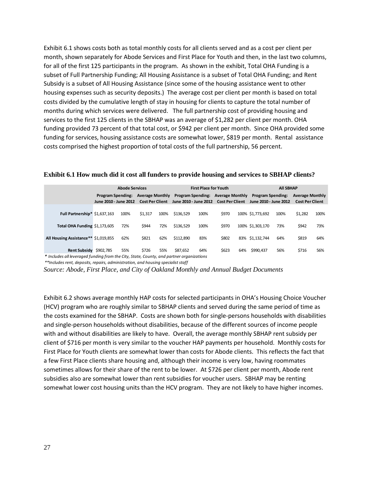Exhibit 6.1 shows costs both as total monthly costs for all clients served and as a cost per client per month, shown separately for Abode Services and First Place for Youth and then, in the last two columns, for all of the first 125 participants in the program. As shown in the exhibit, Total OHA Funding is a subset of Full Partnership Funding; All Housing Assistance is a subset of Total OHA Funding; and Rent Subsidy is a subset of All Housing Assistance (since some of the housing assistance went to other housing expenses such as security deposits.) The average cost per client per month is based on total costs divided by the cumulative length of stay in housing for clients to capture the total number of months during which services were delivered. The full partnership cost of providing housing and services to the first 125 clients in the SBHAP was an average of \$1,282 per client per month. OHA funding provided 73 percent of that total cost, or \$942 per client per month. Since OHA provided some funding for services, housing assistance costs are somewhat lower, \$819 per month. Rental assistance costs comprised the highest proportion of total costs of the full partnership, 56 percent.

|                                                                                                                                                                                | <b>Abode Services</b>                                                                                 |      |         |                                                                                                       |           | <b>First Place for Youth</b> |                                                   |     | <b>All SBHAP</b>                                 |      |         |      |  |
|--------------------------------------------------------------------------------------------------------------------------------------------------------------------------------|-------------------------------------------------------------------------------------------------------|------|---------|-------------------------------------------------------------------------------------------------------|-----------|------------------------------|---------------------------------------------------|-----|--------------------------------------------------|------|---------|------|--|
|                                                                                                                                                                                | <b>Average Monthly</b><br><b>Program Spending:</b><br><b>Cost Per Client</b><br>June 2010 - June 2012 |      |         | <b>Program Spending:</b><br><b>Average Monthly</b><br>June 2010 - June 2012<br><b>Cost Per Client</b> |           |                              | <b>Program Spending:</b><br>June 2010 - June 2012 |     | <b>Average Monthly</b><br><b>Cost Per Client</b> |      |         |      |  |
|                                                                                                                                                                                |                                                                                                       | 100% |         | 100%                                                                                                  | \$136.529 | 100%                         | \$970                                             |     | 100% \$1.773.692                                 | 100% |         | 100% |  |
| Full Partnership* \$1,637,163                                                                                                                                                  |                                                                                                       |      | \$1,317 |                                                                                                       |           |                              |                                                   |     |                                                  |      | \$1,282 |      |  |
| Total OHA Funding \$1,173,605                                                                                                                                                  |                                                                                                       | 72%  | \$944   | 72%                                                                                                   | \$136.529 | 100%                         | \$970                                             |     | 100% \$1,303,170                                 | 73%  | \$942   | 73%  |  |
| All Housing Assistance** \$1,019,855                                                                                                                                           |                                                                                                       | 62%  | \$821   | 62%                                                                                                   | \$112.890 | 83%                          | \$802                                             | 83% | \$1,132,744                                      | 64%  | \$819   | 64%  |  |
| Rent Subsidy \$902,785                                                                                                                                                         |                                                                                                       | 55%  | \$726   | 55%                                                                                                   | \$87.652  | 64%                          | \$623                                             | 64% | \$990.437                                        | 56%  | \$716   | 56%  |  |
| * Includes all leveraged funding from the City, State, County, and partner organizations<br>$**$ included rent, denotic, renaire, administration, and housing specialist staff |                                                                                                       |      |         |                                                                                                       |           |                              |                                                   |     |                                                  |      |         |      |  |

#### **Exhibit 6.1 How much did it cost all funders to provide housing and services to SBHAP clients?**

*\*\*Includes rent, deposits, repairs, administration, and housing specialist staff*

*Source: Abode, First Place, and City of Oakland Monthly and Annual Budget Documents*

Exhibit 6.2 shows average monthly HAP costs for selected participants in OHA's Housing Choice Voucher (HCV) program who are roughly similar to SBHAP clients and served during the same period of time as the costs examined for the SBHAP. Costs are shown both for single-persons households with disabilities and single-person households without disabilities, because of the different sources of income people with and without disabilities are likely to have. Overall, the average monthly SBHAP rent subsidy per client of \$716 per month is very similar to the voucher HAP payments per household. Monthly costs for First Place for Youth clients are somewhat lower than costs for Abode clients. This reflects the fact that a few First Place clients share housing and, although their income is very low, having roommates sometimes allows for their share of the rent to be lower. At \$726 per client per month, Abode rent subsidies also are somewhat lower than rent subsidies for voucher users. SBHAP may be renting somewhat lower cost housing units than the HCV program. They are not likely to have higher incomes.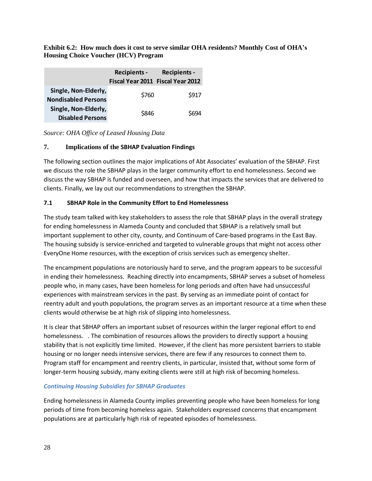**Exhibit 6.2: How much does it cost to serve similar OHA residents? Monthly Cost of OHA's Housing Choice Voucher (HCV) Program**

|                                                    | <b>Recipients -</b>               | <b>Recipients -</b> |
|----------------------------------------------------|-----------------------------------|---------------------|
|                                                    | Fiscal Year 2011 Fiscal Year 2012 |                     |
| Single, Non-Elderly,<br><b>Nondisabled Persons</b> | \$760                             | \$917               |
| Single, Non-Elderly,                               |                                   |                     |
| <b>Disabled Persons</b>                            | \$846                             | S694                |

*Source: OHA Office of Leased Housing Data*

# **7. Implications of the SBHAP Evaluation Findings**

The following section outlines the major implications of Abt Associates' evaluation of the SBHAP. First we discuss the role the SBHAP plays in the larger community effort to end homelessness. Second we discuss the way SBHAP is funded and overseen, and how that impacts the services that are delivered to clients. Finally, we lay out our recommendations to strengthen the SBHAP.

## **7.1 SBHAP Role in the Community Effort to End Homelessness**

The study team talked with key stakeholders to assess the role that SBHAP plays in the overall strategy for ending homelessness in Alameda County and concluded that SBHAP is a relatively small but important supplement to other city, county, and Continuum of Care-based programs in the East Bay. The housing subsidy is service-enriched and targeted to vulnerable groups that might not access other EveryOne Home resources, with the exception of crisis services such as emergency shelter.

The encampment populations are notoriously hard to serve, and the program appears to be successful in ending their homelessness. Reaching directly into encampments, SBHAP serves a subset of homeless people who, in many cases, have been homeless for long periods and often have had unsuccessful experiences with mainstream services in the past. By serving as an immediate point of contact for reentry adult and youth populations, the program serves as an important resource at a time when these clients would otherwise be at high risk of slipping into homelessness.

It is clear that SBHAP offers an important subset of resources within the larger regional effort to end homelessness. . The combination of resources allows the providers to directly support a housing stability that is not explicitly time limited. However, if the client has more persistent barriers to stable housing or no longer needs intensive services, there are few if any resources to connect them to. Program staff for encampment and reentry clients, in particular, insisted that, without some form of longer-term housing subsidy, many exiting clients were still at high risk of becoming homeless.

#### *Continuing Housing Subsidies for SBHAP Graduates*

Ending homelessness in Alameda County implies preventing people who have been homeless for long periods of time from becoming homeless again. Stakeholders expressed concerns that encampment populations are at particularly high risk of repeated episodes of homelessness.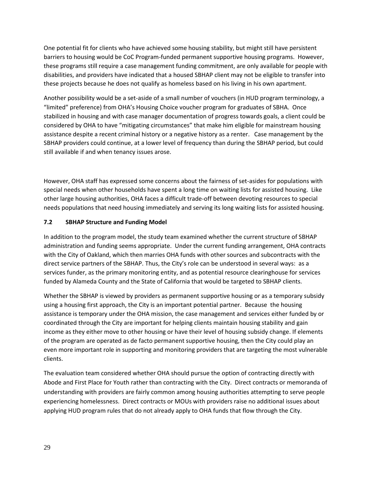One potential fit for clients who have achieved some housing stability, but might still have persistent barriers to housing would be CoC Program-funded permanent supportive housing programs. However, these programs still require a case management funding commitment, are only available for people with disabilities, and providers have indicated that a housed SBHAP client may not be eligible to transfer into these projects because he does not qualify as homeless based on his living in his own apartment.

Another possibility would be a set-aside of a small number of vouchers (in HUD program terminology, a "limited" preference) from OHA's Housing Choice voucher program for graduates of SBHA. Once stabilized in housing and with case manager documentation of progress towards goals, a client could be considered by OHA to have "mitigating circumstances" that make him eligible for mainstream housing assistance despite a recent criminal history or a negative history as a renter. Case management by the SBHAP providers could continue, at a lower level of frequency than during the SBHAP period, but could still available if and when tenancy issues arose.

However, OHA staff has expressed some concerns about the fairness of set-asides for populations with special needs when other households have spent a long time on waiting lists for assisted housing. Like other large housing authorities, OHA faces a difficult trade-off between devoting resources to special needs populations that need housing immediately and serving its long waiting lists for assisted housing.

# **7.2 SBHAP Structure and Funding Model**

In addition to the program model, the study team examined whether the current structure of SBHAP administration and funding seems appropriate. Under the current funding arrangement, OHA contracts with the City of Oakland, which then marries OHA funds with other sources and subcontracts with the direct service partners of the SBHAP. Thus, the City's role can be understood in several ways: as a services funder, as the primary monitoring entity, and as potential resource clearinghouse for services funded by Alameda County and the State of California that would be targeted to SBHAP clients.

Whether the SBHAP is viewed by providers as permanent supportive housing or as a temporary subsidy using a housing first approach, the City is an important potential partner. Because the housing assistance is temporary under the OHA mission, the case management and services either funded by or coordinated through the City are important for helping clients maintain housing stability and gain income as they either move to other housing or have their level of housing subsidy change. If elements of the program are operated as de facto permanent supportive housing, then the City could play an even more important role in supporting and monitoring providers that are targeting the most vulnerable clients.

The evaluation team considered whether OHA should pursue the option of contracting directly with Abode and First Place for Youth rather than contracting with the City. Direct contracts or memoranda of understanding with providers are fairly common among housing authorities attempting to serve people experiencing homelessness. Direct contracts or MOUs with providers raise no additional issues about applying HUD program rules that do not already apply to OHA funds that flow through the City.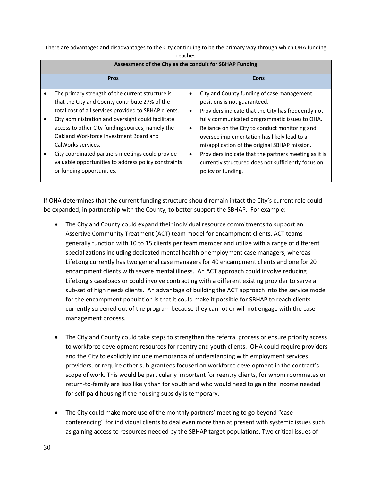There are advantages and disadvantages to the City continuing to be the primary way through which OHA funding

| яс<br>L |
|---------|
|---------|

| Assessment of the City as the conduit for SBHAP Funding                                                                                                                                                                                                                                                                                                                                                                                                                        |                                          |                                                                                                                                                                                                                                                                                                                                                                                                                                                                             |  |  |  |  |  |  |
|--------------------------------------------------------------------------------------------------------------------------------------------------------------------------------------------------------------------------------------------------------------------------------------------------------------------------------------------------------------------------------------------------------------------------------------------------------------------------------|------------------------------------------|-----------------------------------------------------------------------------------------------------------------------------------------------------------------------------------------------------------------------------------------------------------------------------------------------------------------------------------------------------------------------------------------------------------------------------------------------------------------------------|--|--|--|--|--|--|
| <b>Pros</b>                                                                                                                                                                                                                                                                                                                                                                                                                                                                    |                                          | Cons                                                                                                                                                                                                                                                                                                                                                                                                                                                                        |  |  |  |  |  |  |
| The primary strength of the current structure is<br>that the City and County contribute 27% of the<br>total cost of all services provided to SBHAP clients.<br>City administration and oversight could facilitate<br>access to other City funding sources, namely the<br>Oakland Workforce Investment Board and<br>CalWorks services.<br>City coordinated partners meetings could provide<br>valuable opportunities to address policy constraints<br>or funding opportunities. | $\bullet$<br>$\bullet$<br>$\bullet$<br>٠ | City and County funding of case management<br>positions is not guaranteed.<br>Providers indicate that the City has frequently not<br>fully communicated programmatic issues to OHA.<br>Reliance on the City to conduct monitoring and<br>oversee implementation has likely lead to a<br>misapplication of the original SBHAP mission.<br>Providers indicate that the partners meeting as it is<br>currently structured does not sufficiently focus on<br>policy or funding. |  |  |  |  |  |  |

**Assessment of the City as the conduit for SBHAP Funding**

If OHA determines that the current funding structure should remain intact the City's current role could be expanded, in partnership with the County, to better support the SBHAP. For example:

- The City and County could expand their individual resource commitments to support an Assertive Community Treatment (ACT) team model for encampment clients. ACT teams generally function with 10 to 15 clients per team member and utilize with a range of different specializations including dedicated mental health or employment case managers, whereas LifeLong currently has two general case managers for 40 encampment clients and one for 20 encampment clients with severe mental illness. An ACT approach could involve reducing LifeLong's caseloads or could involve contracting with a different existing provider to serve a sub-set of high needs clients. An advantage of building the ACT approach into the service model for the encampment population is that it could make it possible for SBHAP to reach clients currently screened out of the program because they cannot or will not engage with the case management process.
- The City and County could take steps to strengthen the referral process or ensure priority access to workforce development resources for reentry and youth clients. OHA could require providers and the City to explicitly include memoranda of understanding with employment services providers, or require other sub-grantees focused on workforce development in the contract's scope of work. This would be particularly important for reentry clients, for whom roommates or return-to-family are less likely than for youth and who would need to gain the income needed for self-paid housing if the housing subsidy is temporary.
- The City could make more use of the monthly partners' meeting to go beyond "case conferencing" for individual clients to deal even more than at present with systemic issues such as gaining access to resources needed by the SBHAP target populations. Two critical issues of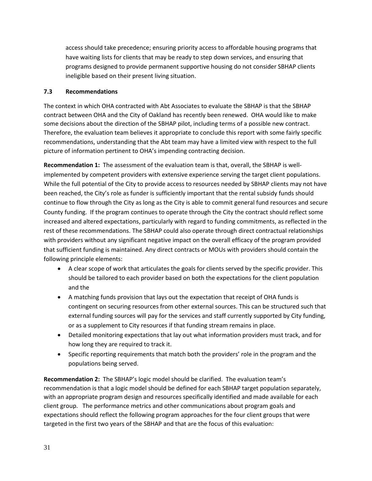access should take precedence; ensuring priority access to affordable housing programs that have waiting lists for clients that may be ready to step down services, and ensuring that programs designed to provide permanent supportive housing do not consider SBHAP clients ineligible based on their present living situation.

# **7.3 Recommendations**

The context in which OHA contracted with Abt Associates to evaluate the SBHAP is that the SBHAP contract between OHA and the City of Oakland has recently been renewed. OHA would like to make some decisions about the direction of the SBHAP pilot, including terms of a possible new contract. Therefore, the evaluation team believes it appropriate to conclude this report with some fairly specific recommendations, understanding that the Abt team may have a limited view with respect to the full picture of information pertinent to OHA's impending contracting decision.

**Recommendation 1:** The assessment of the evaluation team is that, overall, the SBHAP is wellimplemented by competent providers with extensive experience serving the target client populations. While the full potential of the City to provide access to resources needed by SBHAP clients may not have been reached, the City's role as funder is sufficiently important that the rental subsidy funds should continue to flow through the City as long as the City is able to commit general fund resources and secure County funding. If the program continues to operate through the City the contract should reflect some increased and altered expectations, particularly with regard to funding commitments, as reflected in the rest of these recommendations. The SBHAP could also operate through direct contractual relationships with providers without any significant negative impact on the overall efficacy of the program provided that sufficient funding is maintained. Any direct contracts or MOUs with providers should contain the following principle elements:

- A clear scope of work that articulates the goals for clients served by the specific provider. This should be tailored to each provider based on both the expectations for the client population and the
- A matching funds provision that lays out the expectation that receipt of OHA funds is contingent on securing resources from other external sources. This can be structured such that external funding sources will pay for the services and staff currently supported by City funding, or as a supplement to City resources if that funding stream remains in place.
- Detailed monitoring expectations that lay out what information providers must track, and for how long they are required to track it.
- Specific reporting requirements that match both the providers' role in the program and the populations being served.

**Recommendation 2:** The SBHAP's logic model should be clarified. The evaluation team's recommendation is that a logic model should be defined for each SBHAP target population separately, with an appropriate program design and resources specifically identified and made available for each client group. The performance metrics and other communications about program goals and expectations should reflect the following program approaches for the four client groups that were targeted in the first two years of the SBHAP and that are the focus of this evaluation: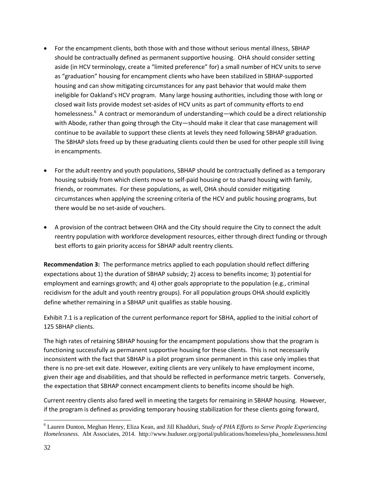- For the encampment clients, both those with and those without serious mental illness, SBHAP should be contractually defined as permanent supportive housing. OHA should consider setting aside (in HCV terminology, create a "limited preference" for) a small number of HCV units to serve as "graduation" housing for encampment clients who have been stabilized in SBHAP-supported housing and can show mitigating circumstances for any past behavior that would make them ineligible for Oakland's HCV program. Many large housing authorities, including those with long or closed wait lists provide modest set-asides of HCV units as part of community efforts to end homelessness.<sup>6</sup> A contract or memorandum of understanding—which could be a direct relationship with Abode, rather than going through the City—should make it clear that case management will continue to be available to support these clients at levels they need following SBHAP graduation. The SBHAP slots freed up by these graduating clients could then be used for other people still living in encampments.
- For the adult reentry and youth populations, SBHAP should be contractually defined as a temporary housing subsidy from which clients move to self-paid housing or to shared housing with family, friends, or roommates. For these populations, as well, OHA should consider mitigating circumstances when applying the screening criteria of the HCV and public housing programs, but there would be no set-aside of vouchers.
- A provision of the contract between OHA and the City should require the City to connect the adult reentry population with workforce development resources, either through direct funding or through best efforts to gain priority access for SBHAP adult reentry clients.

**Recommendation 3:** The performance metrics applied to each population should reflect differing expectations about 1) the duration of SBHAP subsidy; 2) access to benefits income; 3) potential for employment and earnings growth; and 4) other goals appropriate to the population (e.g., criminal recidivism for the adult and youth reentry groups). For all population groups OHA should explicitly define whether remaining in a SBHAP unit qualifies as stable housing.

Exhibit 7.1 is a replication of the current performance report for SBHA, applied to the initial cohort of 125 SBHAP clients.

The high rates of retaining SBHAP housing for the encampment populations show that the program is functioning successfully as permanent supportive housing for these clients. This is not necessarily inconsistent with the fact that SBHAP is a pilot program since permanent in this case only implies that there is no pre-set exit date. However, exiting clients are very unlikely to have employment income, given their age and disabilities, and that should be reflected in performance metric targets. Conversely, the expectation that SBHAP connect encampment clients to benefits income should be high.

Current reentry clients also fared well in meeting the targets for remaining in SBHAP housing. However, if the program is defined as providing temporary housing stabilization for these clients going forward,

l

<sup>6</sup> Lauren Dunton, Meghan Henry, Eliza Kean, and Jill Khadduri, *Study of PHA Efforts to Serve People Experiencing Homelessness.* Abt Associates, 2014. http://www.huduser.org/portal/publications/homeless/pha\_homelessness.html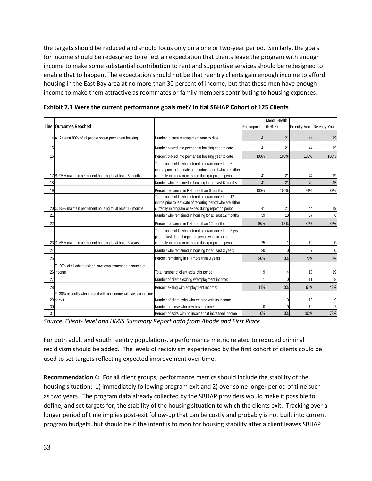the targets should be reduced and should focus only on a one or two-year period. Similarly, the goals for income should be redesigned to reflect an expectation that clients leave the program with enough income to make some substantial contribution to rent and supportive services should be redesigned to enable that to happen. The expectation should not be that reentry clients gain enough income to afford housing in the East Bay area at no more than 30 percent of income, but that these men have enough income to make them attractive as roommates or family members contributing to housing expenses.

|    |                                                                               |                                                                                                                                                                            |             | <b>Mental Health</b> |      |                               |
|----|-------------------------------------------------------------------------------|----------------------------------------------------------------------------------------------------------------------------------------------------------------------------|-------------|----------------------|------|-------------------------------|
|    | Line Outcomes Reached                                                         |                                                                                                                                                                            | Encampments | (BHCS)               |      | Re-entry Adult Re-entry Youth |
|    | 14 A. At least 80% of all people obtain permanent housing                     | Number in case management year to date                                                                                                                                     | 41          | 21                   | 44   | 19                            |
| 15 |                                                                               | Number placed into permanent housing year to date                                                                                                                          | 41          | 21                   | 44   | 19                            |
| 16 |                                                                               | Percent placed into permanent housing year to date                                                                                                                         | 100%        | 100%                 | 100% | 100%                          |
|    | 17 B. 95% maintain permanent housing for at least 6 months                    | Total households who entered program more than 6<br>mnths prior to last date of reporting period who are either<br>currently in program or exited during reporting period  | 41          | 21                   | 44   | 19                            |
| 18 |                                                                               | Number who remained in housing for at least 6 months                                                                                                                       | 41          | 21                   | 40   | 15                            |
| 19 |                                                                               | Percent remaining in PH more than 6 months                                                                                                                                 | 100%        | 100%                 | 91%  | 79%                           |
|    | 20 C. 85% maintain permanent housing for at least 12 months                   | Total households who entered program more than 12<br>mnths prior to last date of reporting period who are either<br>currently in program or exited during reporting period | 41          | 21                   | 44   | 19                            |
| 21 |                                                                               | Number who remained in housing for at least 12 months                                                                                                                      | 39          | 18                   | 37   |                               |
| 22 |                                                                               | Percent remaining in PH more than 12 months                                                                                                                                | 95%         | 86%                  | 84%  | 32%                           |
|    | 23 D. 65% maintain permanent housing for at least 3 years                     | Total households who entered program more than 3 yrs<br>prior to last date of reporting period who are either<br>currently in program or exited during reporting period    | 25          |                      | 10   |                               |
| 24 |                                                                               | Number who remained in housing for at least 3 years                                                                                                                        | 20          |                      |      |                               |
| 25 |                                                                               | Percent remaining in PH more than 3 years                                                                                                                                  | 80%         | 0%                   | 70%  | 0%                            |
|    | E. 20% of all adults exiting have employment as a source of<br>26 income      | Total number of client exits this period                                                                                                                                   | 9           |                      | 18   | 19                            |
| 27 |                                                                               | Number of clients exiting w/employment income:                                                                                                                             |             |                      | 11   | 8                             |
| 28 |                                                                               | Percent exiting with employment income:                                                                                                                                    | 11%         | 0%                   | 61%  | 42%                           |
|    | F. 30% of adults who entered with no income will have an income<br>29 at exit | Number of client exits who entered with no income                                                                                                                          |             |                      | 12   | 9                             |
| 30 |                                                                               | Number of those who now have income                                                                                                                                        | Λ           |                      | 12   | 7                             |
| 31 |                                                                               | Percent of exits with no income that increased income                                                                                                                      | 0%          | 0%                   | 100% | 78%                           |

**Exhibit 7.1 Were the current performance goals met? Initial SBHAP Cohort of 125 Clients**

*Source: Client- level and HMIS Summary Report data from Abode and First Place*

For both adult and youth reentry populations, a performance metric related to reduced criminal recidivism should be added. The levels of recidivism experienced by the first cohort of clients could be used to set targets reflecting expected improvement over time.

**Recommendation 4:** For all client groups, performance metrics should include the stability of the housing situation: 1) immediately following program exit and 2) over some longer period of time such as two years. The program data already collected by the SBHAP providers would make it possible to define, and set targets for, the stability of the housing situation to which the clients exit. Tracking over a longer period of time implies post-exit follow-up that can be costly and probably is not built into current program budgets, but should be if the intent is to monitor housing stability after a client leaves SBHAP